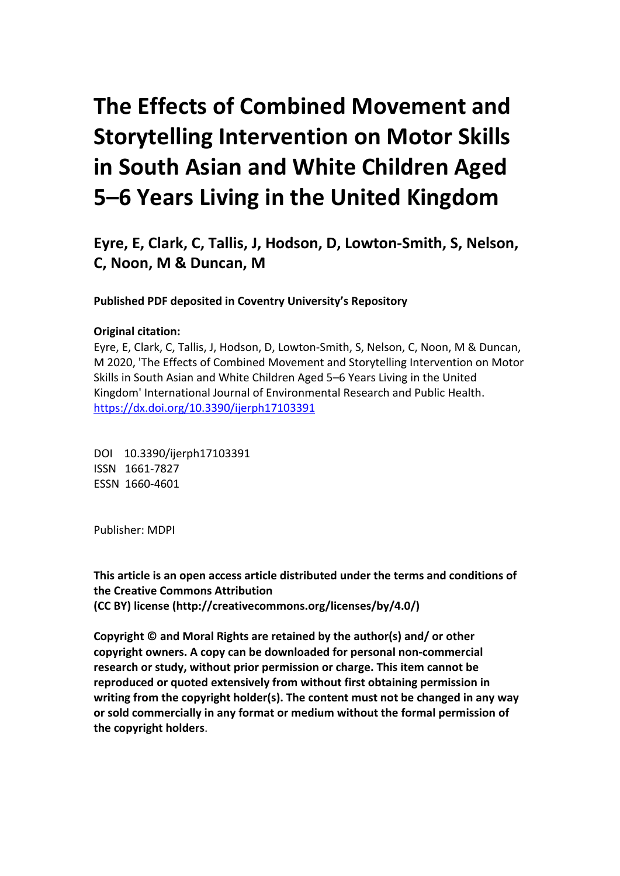# **The Effects of Combined Movement and Storytelling Intervention on Motor Skills in South Asian and White Children Aged 5–6 Years Living in the United Kingdom**

**Eyre, E, Clark, C, Tallis, J, Hodson, D, Lowton-Smith, S, Nelson, C, Noon, M & Duncan, M**

**Published PDF deposited in Coventry University's Repository** 

## **Original citation:**

Eyre, E, Clark, C, Tallis, J, Hodson, D, Lowton-Smith, S, Nelson, C, Noon, M & Duncan, M 2020, 'The Effects of Combined Movement and Storytelling Intervention on Motor Skills in South Asian and White Children Aged 5–6 Years Living in the United Kingdom' International Journal of Environmental Research and Public Health. https://dx.doi.org/10.3390/ijerph17103391

DOI 10.3390/ijerph17103391 ISSN 1661-7827 ESSN 1660-4601

Publisher: MDPI

**This article is an open access article distributed under the terms and conditions of the Creative Commons Attribution (CC BY) license (http://creativecommons.org/licenses/by/4.0/)**

**Copyright © and Moral Rights are retained by the author(s) and/ or other copyright owners. A copy can be downloaded for personal non-commercial research or study, without prior permission or charge. This item cannot be reproduced or quoted extensively from without first obtaining permission in writing from the copyright holder(s). The content must not be changed in any way or sold commercially in any format or medium without the formal permission of the copyright holders**.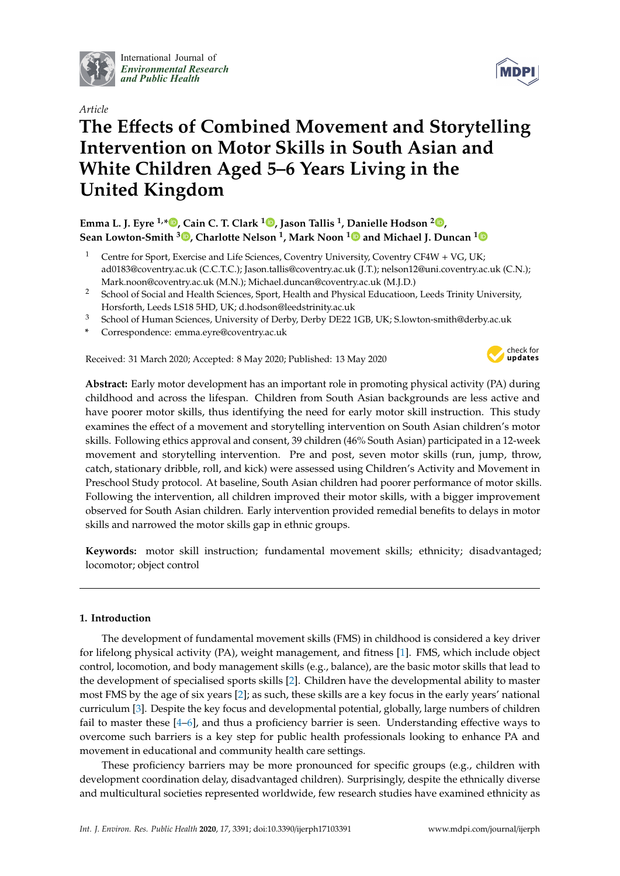

International Journal of *[Environmental Research](http://www.mdpi.com/journal/ijerph) and Public Health*





# **The E**ff**ects of Combined Movement and Storytelling Intervention on Motor Skills in South Asian and White Children Aged 5–6 Years Living in the United Kingdom**

# **Emma L. J. Eyre 1,\* [,](https://orcid.org/0000-0002-4040-5921) Cain C. T. Clark <sup>1</sup> [,](https://orcid.org/0000-0002-6610-4617) Jason Tallis <sup>1</sup> , Danielle Hodson <sup>2</sup> [,](https://orcid.org/0000-0001-5440-5765) Sean Lowton-Smith <sup>3</sup> [,](https://orcid.org/0000-0003-0665-1608) Charlotte Nelson <sup>1</sup> , Mark Noon [1](https://orcid.org/0000-0002-1113-8406) and Michael J. Duncan [1](https://orcid.org/0000-0002-2016-6580)**

- <sup>1</sup> Centre for Sport, Exercise and Life Sciences, Coventry University, Coventry CF4W + VG, UK; ad0183@coventry.ac.uk (C.C.T.C.); Jason.tallis@coventry.ac.uk (J.T.); nelson12@uni.coventry.ac.uk (C.N.); Mark.noon@coventry.ac.uk (M.N.); Michael.duncan@coventry.ac.uk (M.J.D.)
- <sup>2</sup> School of Social and Health Sciences, Sport, Health and Physical Educatioon, Leeds Trinity University, Horsforth, Leeds LS18 5HD, UK; d.hodson@leedstrinity.ac.uk
- <sup>3</sup> School of Human Sciences, University of Derby, Derby DE22 1GB, UK; S.lowton-smith@derby.ac.uk
- **\*** Correspondence: emma.eyre@coventry.ac.uk

Received: 31 March 2020; Accepted: 8 May 2020; Published: 13 May 2020



**Abstract:** Early motor development has an important role in promoting physical activity (PA) during childhood and across the lifespan. Children from South Asian backgrounds are less active and have poorer motor skills, thus identifying the need for early motor skill instruction. This study examines the effect of a movement and storytelling intervention on South Asian children's motor skills. Following ethics approval and consent, 39 children (46% South Asian) participated in a 12-week movement and storytelling intervention. Pre and post, seven motor skills (run, jump, throw, catch, stationary dribble, roll, and kick) were assessed using Children's Activity and Movement in Preschool Study protocol. At baseline, South Asian children had poorer performance of motor skills. Following the intervention, all children improved their motor skills, with a bigger improvement observed for South Asian children. Early intervention provided remedial benefits to delays in motor skills and narrowed the motor skills gap in ethnic groups.

**Keywords:** motor skill instruction; fundamental movement skills; ethnicity; disadvantaged; locomotor; object control

### **1. Introduction**

The development of fundamental movement skills (FMS) in childhood is considered a key driver for lifelong physical activity (PA), weight management, and fitness [\[1\]](#page-14-0). FMS, which include object control, locomotion, and body management skills (e.g., balance), are the basic motor skills that lead to the development of specialised sports skills [\[2\]](#page-14-1). Children have the developmental ability to master most FMS by the age of six years [\[2\]](#page-14-1); as such, these skills are a key focus in the early years' national curriculum [\[3\]](#page-14-2). Despite the key focus and developmental potential, globally, large numbers of children fail to master these [\[4–](#page-14-3)[6\]](#page-14-4), and thus a proficiency barrier is seen. Understanding effective ways to overcome such barriers is a key step for public health professionals looking to enhance PA and movement in educational and community health care settings.

These proficiency barriers may be more pronounced for specific groups (e.g., children with development coordination delay, disadvantaged children). Surprisingly, despite the ethnically diverse and multicultural societies represented worldwide, few research studies have examined ethnicity as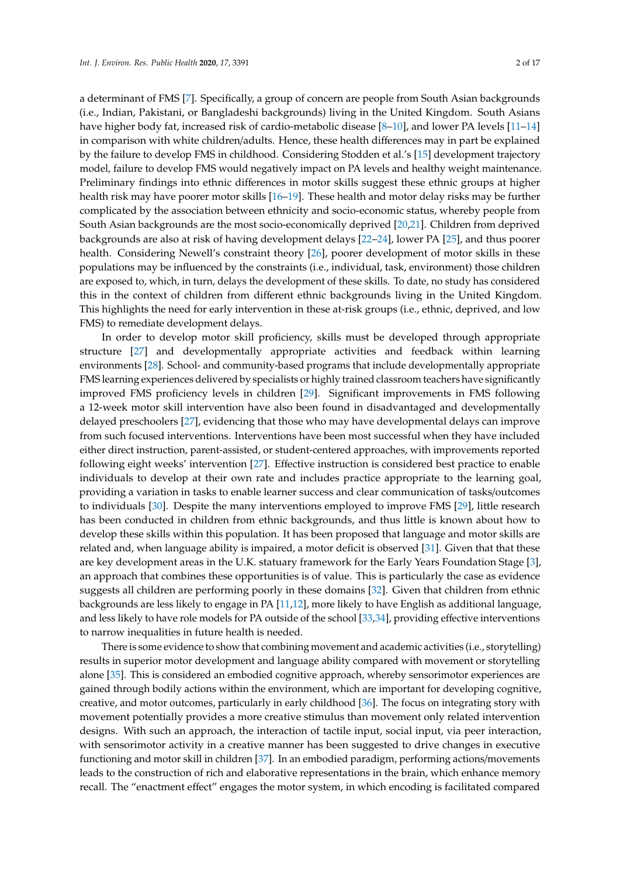a determinant of FMS [\[7\]](#page-14-5). Specifically, a group of concern are people from South Asian backgrounds (i.e., Indian, Pakistani, or Bangladeshi backgrounds) living in the United Kingdom. South Asians have higher body fat, increased risk of cardio-metabolic disease [\[8–](#page-14-6)[10\]](#page-15-0), and lower PA levels [\[11](#page-15-1)[–14\]](#page-15-2) in comparison with white children/adults. Hence, these health differences may in part be explained by the failure to develop FMS in childhood. Considering Stodden et al.'s [\[15\]](#page-15-3) development trajectory model, failure to develop FMS would negatively impact on PA levels and healthy weight maintenance. Preliminary findings into ethnic differences in motor skills suggest these ethnic groups at higher health risk may have poorer motor skills [\[16](#page-15-4)[–19\]](#page-15-5). These health and motor delay risks may be further complicated by the association between ethnicity and socio-economic status, whereby people from South Asian backgrounds are the most socio-economically deprived [\[20](#page-15-6)[,21\]](#page-15-7). Children from deprived backgrounds are also at risk of having development delays [\[22](#page-15-8)[–24\]](#page-15-9), lower PA [\[25\]](#page-15-10), and thus poorer health. Considering Newell's constraint theory [\[26\]](#page-15-11), poorer development of motor skills in these populations may be influenced by the constraints (i.e., individual, task, environment) those children are exposed to, which, in turn, delays the development of these skills. To date, no study has considered this in the context of children from different ethnic backgrounds living in the United Kingdom. This highlights the need for early intervention in these at-risk groups (i.e., ethnic, deprived, and low FMS) to remediate development delays.

In order to develop motor skill proficiency, skills must be developed through appropriate structure [\[27\]](#page-15-12) and developmentally appropriate activities and feedback within learning environments [\[28\]](#page-15-13). School- and community-based programs that include developmentally appropriate FMS learning experiences delivered by specialists or highly trained classroom teachers have significantly improved FMS proficiency levels in children [\[29\]](#page-15-14). Significant improvements in FMS following a 12-week motor skill intervention have also been found in disadvantaged and developmentally delayed preschoolers [\[27\]](#page-15-12), evidencing that those who may have developmental delays can improve from such focused interventions. Interventions have been most successful when they have included either direct instruction, parent-assisted, or student-centered approaches, with improvements reported following eight weeks' intervention [\[27\]](#page-15-12). Effective instruction is considered best practice to enable individuals to develop at their own rate and includes practice appropriate to the learning goal, providing a variation in tasks to enable learner success and clear communication of tasks/outcomes to individuals [\[30\]](#page-15-15). Despite the many interventions employed to improve FMS [\[29\]](#page-15-14), little research has been conducted in children from ethnic backgrounds, and thus little is known about how to develop these skills within this population. It has been proposed that language and motor skills are related and, when language ability is impaired, a motor deficit is observed [\[31\]](#page-15-16). Given that that these are key development areas in the U.K. statuary framework for the Early Years Foundation Stage [\[3\]](#page-14-2), an approach that combines these opportunities is of value. This is particularly the case as evidence suggests all children are performing poorly in these domains [\[32\]](#page-16-0). Given that children from ethnic backgrounds are less likely to engage in PA [\[11,](#page-15-1)[12\]](#page-15-17), more likely to have English as additional language, and less likely to have role models for PA outside of the school [\[33](#page-16-1)[,34\]](#page-16-2), providing effective interventions to narrow inequalities in future health is needed.

There is some evidence to show that combining movement and academic activities (i.e., storytelling) results in superior motor development and language ability compared with movement or storytelling alone [\[35\]](#page-16-3). This is considered an embodied cognitive approach, whereby sensorimotor experiences are gained through bodily actions within the environment, which are important for developing cognitive, creative, and motor outcomes, particularly in early childhood [\[36\]](#page-16-4). The focus on integrating story with movement potentially provides a more creative stimulus than movement only related intervention designs. With such an approach, the interaction of tactile input, social input, via peer interaction, with sensorimotor activity in a creative manner has been suggested to drive changes in executive functioning and motor skill in children [\[37\]](#page-16-5). In an embodied paradigm, performing actions/movements leads to the construction of rich and elaborative representations in the brain, which enhance memory recall. The "enactment effect" engages the motor system, in which encoding is facilitated compared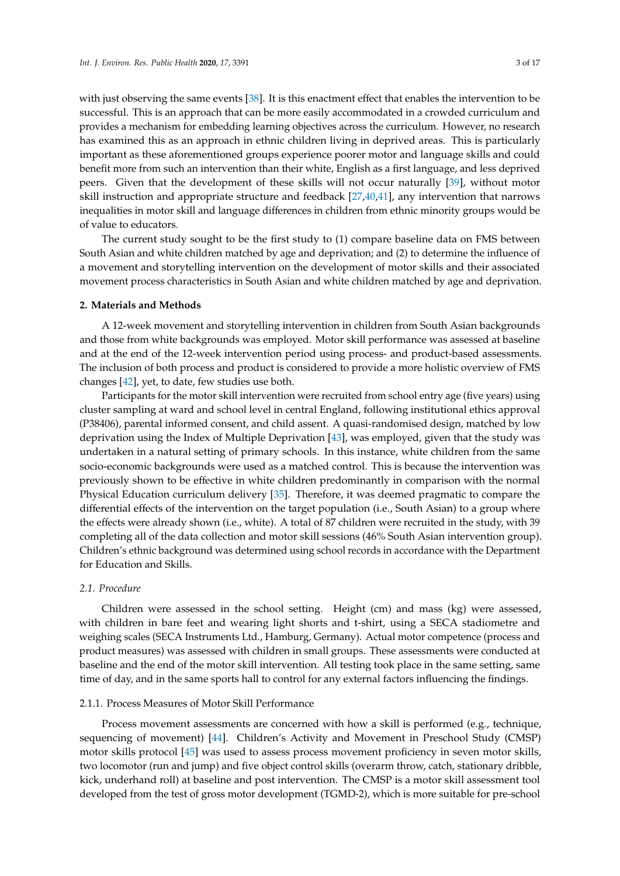with just observing the same events [\[38\]](#page-16-6). It is this enactment effect that enables the intervention to be successful. This is an approach that can be more easily accommodated in a crowded curriculum and provides a mechanism for embedding learning objectives across the curriculum. However, no research has examined this as an approach in ethnic children living in deprived areas. This is particularly important as these aforementioned groups experience poorer motor and language skills and could benefit more from such an intervention than their white, English as a first language, and less deprived peers. Given that the development of these skills will not occur naturally [\[39\]](#page-16-7), without motor skill instruction and appropriate structure and feedback [\[27,](#page-15-12)[40](#page-16-8)[,41\]](#page-16-9), any intervention that narrows inequalities in motor skill and language differences in children from ethnic minority groups would be of value to educators.

The current study sought to be the first study to (1) compare baseline data on FMS between South Asian and white children matched by age and deprivation; and (2) to determine the influence of a movement and storytelling intervention on the development of motor skills and their associated movement process characteristics in South Asian and white children matched by age and deprivation.

#### **2. Materials and Methods**

A 12-week movement and storytelling intervention in children from South Asian backgrounds and those from white backgrounds was employed. Motor skill performance was assessed at baseline and at the end of the 12-week intervention period using process- and product-based assessments. The inclusion of both process and product is considered to provide a more holistic overview of FMS changes [\[42\]](#page-16-10), yet, to date, few studies use both.

Participants for the motor skill intervention were recruited from school entry age (five years) using cluster sampling at ward and school level in central England, following institutional ethics approval (P38406), parental informed consent, and child assent. A quasi-randomised design, matched by low deprivation using the Index of Multiple Deprivation [\[43\]](#page-16-11), was employed, given that the study was undertaken in a natural setting of primary schools. In this instance, white children from the same socio-economic backgrounds were used as a matched control. This is because the intervention was previously shown to be effective in white children predominantly in comparison with the normal Physical Education curriculum delivery [\[35\]](#page-16-3). Therefore, it was deemed pragmatic to compare the differential effects of the intervention on the target population (i.e., South Asian) to a group where the effects were already shown (i.e., white). A total of 87 children were recruited in the study, with 39 completing all of the data collection and motor skill sessions (46% South Asian intervention group). Children's ethnic background was determined using school records in accordance with the Department for Education and Skills.

#### *2.1. Procedure*

Children were assessed in the school setting. Height (cm) and mass (kg) were assessed, with children in bare feet and wearing light shorts and t-shirt, using a SECA stadiometre and weighing scales (SECA Instruments Ltd., Hamburg, Germany). Actual motor competence (process and product measures) was assessed with children in small groups. These assessments were conducted at baseline and the end of the motor skill intervention. All testing took place in the same setting, same time of day, and in the same sports hall to control for any external factors influencing the findings.

#### 2.1.1. Process Measures of Motor Skill Performance

Process movement assessments are concerned with how a skill is performed (e.g., technique, sequencing of movement) [\[44\]](#page-16-12). Children's Activity and Movement in Preschool Study (CMSP) motor skills protocol [\[45\]](#page-16-13) was used to assess process movement proficiency in seven motor skills, two locomotor (run and jump) and five object control skills (overarm throw, catch, stationary dribble, kick, underhand roll) at baseline and post intervention. The CMSP is a motor skill assessment tool developed from the test of gross motor development (TGMD-2), which is more suitable for pre-school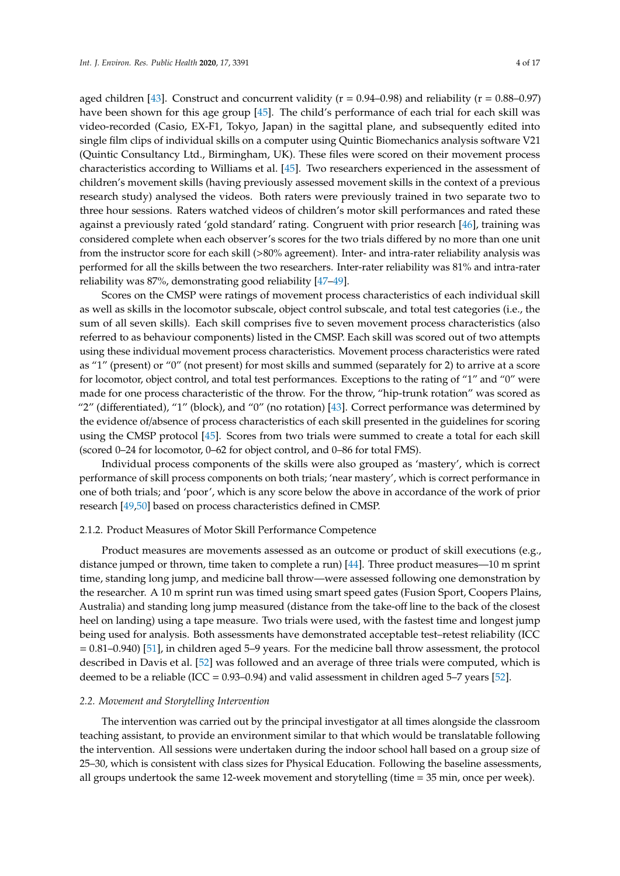aged children [\[43\]](#page-16-11). Construct and concurrent validity ( $r = 0.94{\text{-}}0.98$ ) and reliability ( $r = 0.88{\text{-}}0.97$ ) have been shown for this age group [\[45\]](#page-16-13). The child's performance of each trial for each skill was video-recorded (Casio, EX-F1, Tokyo, Japan) in the sagittal plane, and subsequently edited into single film clips of individual skills on a computer using Quintic Biomechanics analysis software V21 (Quintic Consultancy Ltd., Birmingham, UK). These files were scored on their movement process characteristics according to Williams et al. [\[45\]](#page-16-13). Two researchers experienced in the assessment of children's movement skills (having previously assessed movement skills in the context of a previous research study) analysed the videos. Both raters were previously trained in two separate two to three hour sessions. Raters watched videos of children's motor skill performances and rated these against a previously rated 'gold standard' rating. Congruent with prior research [\[46\]](#page-16-14), training was considered complete when each observer's scores for the two trials differed by no more than one unit from the instructor score for each skill (>80% agreement). Inter- and intra-rater reliability analysis was performed for all the skills between the two researchers. Inter-rater reliability was 81% and intra-rater reliability was 87%, demonstrating good reliability [\[47–](#page-16-15)[49\]](#page-16-16).

Scores on the CMSP were ratings of movement process characteristics of each individual skill as well as skills in the locomotor subscale, object control subscale, and total test categories (i.e., the sum of all seven skills). Each skill comprises five to seven movement process characteristics (also referred to as behaviour components) listed in the CMSP. Each skill was scored out of two attempts using these individual movement process characteristics. Movement process characteristics were rated as "1" (present) or "0" (not present) for most skills and summed (separately for 2) to arrive at a score for locomotor, object control, and total test performances. Exceptions to the rating of "1" and "0" were made for one process characteristic of the throw. For the throw, "hip-trunk rotation" was scored as "2" (differentiated), "1" (block), and "0" (no rotation) [\[43\]](#page-16-11). Correct performance was determined by the evidence of/absence of process characteristics of each skill presented in the guidelines for scoring using the CMSP protocol [\[45\]](#page-16-13). Scores from two trials were summed to create a total for each skill (scored 0–24 for locomotor, 0–62 for object control, and 0–86 for total FMS).

Individual process components of the skills were also grouped as 'mastery', which is correct performance of skill process components on both trials; 'near mastery', which is correct performance in one of both trials; and 'poor', which is any score below the above in accordance of the work of prior research [\[49](#page-16-16)[,50\]](#page-16-17) based on process characteristics defined in CMSP.

#### 2.1.2. Product Measures of Motor Skill Performance Competence

Product measures are movements assessed as an outcome or product of skill executions (e.g., distance jumped or thrown, time taken to complete a run) [\[44\]](#page-16-12). Three product measures—10 m sprint time, standing long jump, and medicine ball throw—were assessed following one demonstration by the researcher. A 10 m sprint run was timed using smart speed gates (Fusion Sport, Coopers Plains, Australia) and standing long jump measured (distance from the take-off line to the back of the closest heel on landing) using a tape measure. Two trials were used, with the fastest time and longest jump being used for analysis. Both assessments have demonstrated acceptable test–retest reliability (ICC = 0.81–0.940) [\[51\]](#page-16-18), in children aged 5–9 years. For the medicine ball throw assessment, the protocol described in Davis et al. [\[52\]](#page-16-19) was followed and an average of three trials were computed, which is deemed to be a reliable (ICC = 0.93–0.94) and valid assessment in children aged 5–7 years [\[52\]](#page-16-19).

#### *2.2. Movement and Storytelling Intervention*

The intervention was carried out by the principal investigator at all times alongside the classroom teaching assistant, to provide an environment similar to that which would be translatable following the intervention. All sessions were undertaken during the indoor school hall based on a group size of 25–30, which is consistent with class sizes for Physical Education. Following the baseline assessments, all groups undertook the same 12-week movement and storytelling (time = 35 min, once per week).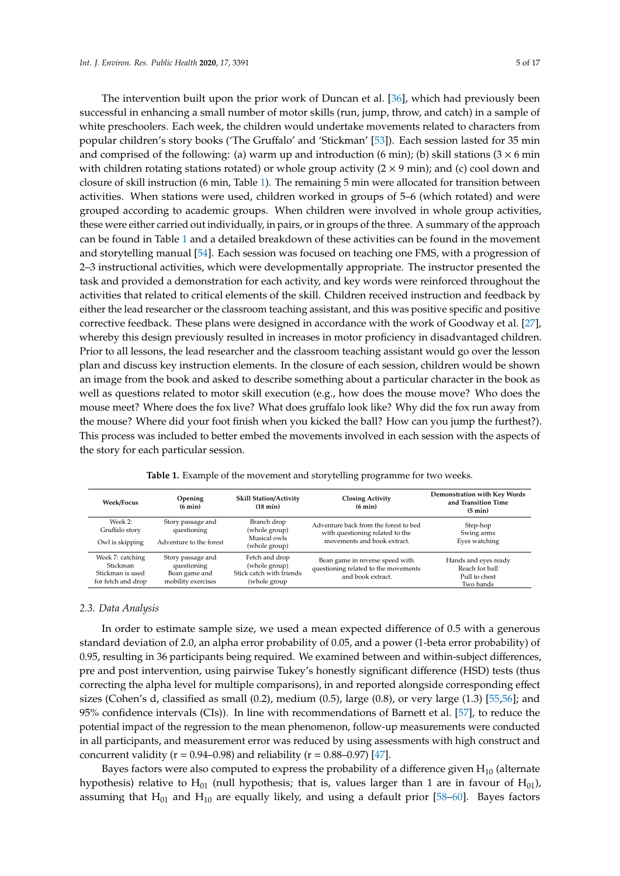The intervention built upon the prior work of Duncan et al. [\[36\]](#page-16-4), which had previously been successful in enhancing a small number of motor skills (run, jump, throw, and catch) in a sample of white preschoolers. Each week, the children would undertake movements related to characters from popular children's story books ('The Gruffalo' and 'Stickman' [\[53\]](#page-16-20)). Each session lasted for 35 min and comprised of the following: (a) warm up and introduction (6 min); (b) skill stations ( $3 \times 6$  min with children rotating stations rotated) or whole group activity  $(2 \times 9 \text{ min})$ ; and (c) cool down and closure of skill instruction (6 min, Table [1\)](#page-5-0). The remaining 5 min were allocated for transition between activities. When stations were used, children worked in groups of 5–6 (which rotated) and were grouped according to academic groups. When children were involved in whole group activities, these were either carried out individually, in pairs, or in groups of the three. A summary of the approach can be found in Table [1](#page-5-0) and a detailed breakdown of these activities can be found in the movement and storytelling manual [\[54\]](#page-16-21). Each session was focused on teaching one FMS, with a progression of 2–3 instructional activities, which were developmentally appropriate. The instructor presented the task and provided a demonstration for each activity, and key words were reinforced throughout the activities that related to critical elements of the skill. Children received instruction and feedback by either the lead researcher or the classroom teaching assistant, and this was positive specific and positive corrective feedback. These plans were designed in accordance with the work of Goodway et al. [\[27\]](#page-15-12), whereby this design previously resulted in increases in motor proficiency in disadvantaged children. Prior to all lessons, the lead researcher and the classroom teaching assistant would go over the lesson plan and discuss key instruction elements. In the closure of each session, children would be shown an image from the book and asked to describe something about a particular character in the book as well as questions related to motor skill execution (e.g., how does the mouse move? Who does the mouse meet? Where does the fox live? What does gruffalo look like? Why did the fox run away from the mouse? Where did your foot finish when you kicked the ball? How can you jump the furthest?). This process was included to better embed the movements involved in each session with the aspects of the story for each particular session.

<span id="page-5-0"></span>

| Opening<br><b>Week/Focus</b><br>$(6 \text{ min})$                      |                                                                         | <b>Skill Station/Activity</b><br>$(18 \text{ min})$                         | <b>Closing Activity</b><br>$(6 \text{ min})$                                                 | Demonstration with Key Words<br>and Transition Time<br>$(5 \text{ min})$ |
|------------------------------------------------------------------------|-------------------------------------------------------------------------|-----------------------------------------------------------------------------|----------------------------------------------------------------------------------------------|--------------------------------------------------------------------------|
| Week $2:$<br>Gruffalo story                                            | Story passage and<br>questioning                                        | Branch drop<br>(whole group)                                                | Adventure back from the forest to bed<br>with questioning related to the                     | Step-hop<br>Swing arms                                                   |
| Owl is skipping                                                        | Adventure to the forest                                                 | Musical owls<br>(whole group)                                               | movements and book extract.                                                                  | Eyes watching                                                            |
| Week 7: catching<br>Stickman<br>Stickman is used<br>for fetch and drop | Story passage and<br>questioning<br>Bean game and<br>mobility exercises | Fetch and drop<br>(whole group)<br>Stick catch with friends<br>(whole group | Bean game in reverse speed with<br>questioning related to the movements<br>and book extract. | Hands and eyes ready<br>Reach for ball<br>Pull to chest<br>Two hands     |

#### *2.3. Data Analysis*

In order to estimate sample size, we used a mean expected difference of 0.5 with a generous standard deviation of 2.0, an alpha error probability of 0.05, and a power (1-beta error probability) of 0.95, resulting in 36 participants being required. We examined between and within-subject differences, pre and post intervention, using pairwise Tukey's honestly significant difference (HSD) tests (thus correcting the alpha level for multiple comparisons), in and reported alongside corresponding effect sizes (Cohen's d, classified as small (0.2), medium (0.5), large (0.8), or very large (1.3) [\[55](#page-16-22)[,56\]](#page-17-0); and 95% confidence intervals (CIs)). In line with recommendations of Barnett et al. [\[57\]](#page-17-1), to reduce the potential impact of the regression to the mean phenomenon, follow-up measurements were conducted in all participants, and measurement error was reduced by using assessments with high construct and concurrent validity ( $r = 0.94 - 0.98$ ) and reliability ( $r = 0.88 - 0.97$ ) [\[47\]](#page-16-15).

Bayes factors were also computed to express the probability of a difference given  $H_{10}$  (alternate hypothesis) relative to H<sub>01</sub> (null hypothesis; that is, values larger than 1 are in favour of H<sub>01</sub>), assuming that  $H_{01}$  and  $H_{10}$  are equally likely, and using a default prior [\[58](#page-17-2)[–60\]](#page-17-3). Bayes factors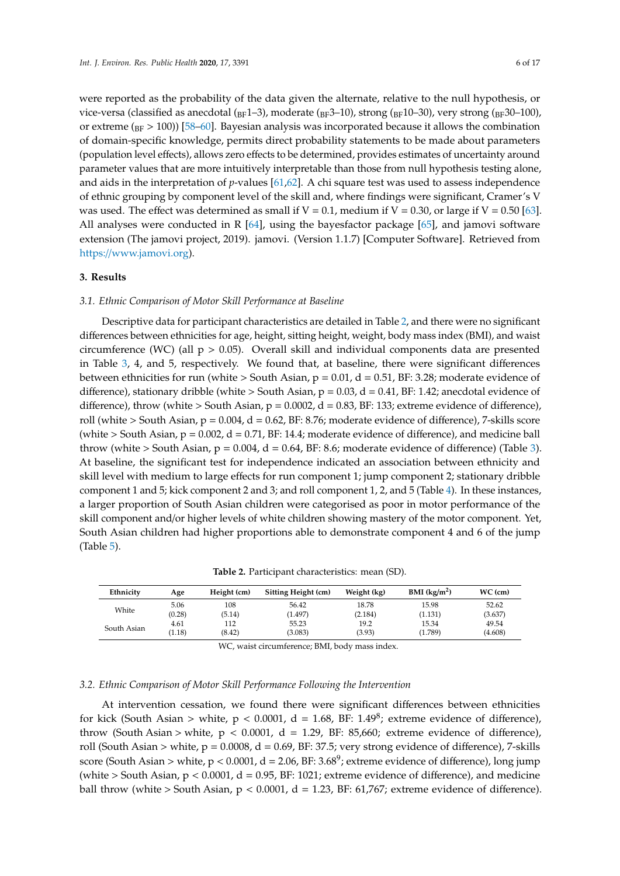were reported as the probability of the data given the alternate, relative to the null hypothesis, or vice-versa (classified as anecdotal ( $_{BF}1-3$ ), moderate ( $_{BF}3-10$ ), strong ( $_{BF}10-30$ ), very strong ( $_{BF}30-100$ ), or extreme ( $_{\text{BF}}$  > 100)) [\[58–](#page-17-2)[60\]](#page-17-3). Bayesian analysis was incorporated because it allows the combination of domain-specific knowledge, permits direct probability statements to be made about parameters (population level effects), allows zero effects to be determined, provides estimates of uncertainty around parameter values that are more intuitively interpretable than those from null hypothesis testing alone, and aids in the interpretation of *p*-values [\[61,](#page-17-4)[62\]](#page-17-5). A chi square test was used to assess independence of ethnic grouping by component level of the skill and, where findings were significant, Cramer's V was used. The effect was determined as small if  $V = 0.1$ , medium if  $V = 0.30$ , or large if  $V = 0.50$  [\[63\]](#page-17-6). All analyses were conducted in R [\[64\]](#page-17-7), using the bayesfactor package [\[65\]](#page-17-8), and jamovi software extension (The jamovi project, 2019). jamovi. (Version 1.1.7) [Computer Software]. Retrieved from https://[www.jamovi.org\)](https://www.jamovi.org).

#### **3. Results**

#### *3.1. Ethnic Comparison of Motor Skill Performance at Baseline*

Descriptive data for participant characteristics are detailed in Table [2,](#page-6-0) and there were no significant differences between ethnicities for age, height, sitting height, weight, body mass index (BMI), and waist circumference (WC) (all  $p > 0.05$ ). Overall skill and individual components data are presented in Table [3,](#page-8-0) 4, and 5, respectively. We found that, at baseline, there were significant differences between ethnicities for run (white  $>$  South Asian,  $p = 0.01$ ,  $d = 0.51$ , BF: 3.28; moderate evidence of difference), stationary dribble (white  $>$  South Asian,  $p = 0.03$ , d = 0.41, BF: 1.42; anecdotal evidence of difference), throw (white > South Asian,  $p = 0.0002$ ,  $d = 0.83$ , BF: 133; extreme evidence of difference), roll (white > South Asian,  $p = 0.004$ ,  $d = 0.62$ , BF: 8.76; moderate evidence of difference), 7-skills score (white  $>$  South Asian,  $p = 0.002$ ,  $d = 0.71$ , BF: 14.4; moderate evidence of difference), and medicine ball throw (white > South Asian,  $p = 0.004$ ,  $d = 0.64$ , BF: 8.6; moderate evidence of difference) (Table [3\)](#page-8-0). At baseline, the significant test for independence indicated an association between ethnicity and skill level with medium to large effects for run component 1; jump component 2; stationary dribble component 1 and 5; kick component 2 and 3; and roll component 1, 2, and 5 (Table [4\)](#page-8-1). In these instances, a larger proportion of South Asian children were categorised as poor in motor performance of the skill component and/or higher levels of white children showing mastery of the motor component. Yet, South Asian children had higher proportions able to demonstrate component 4 and 6 of the jump (Table [5\)](#page-10-0).

**Table 2.** Participant characteristics: mean (SD).

<span id="page-6-0"></span>

| Ethnicity   | Age    | Height (cm) | Sitting Height (cm) | Weight (kg) | BMI (kg/m <sup>2</sup> ) | $WC$ (cm) |
|-------------|--------|-------------|---------------------|-------------|--------------------------|-----------|
|             | 5.06   | 108         | 56.42               | 18.78       | 15.98                    | 52.62     |
| White       | (0.28) | (5.14)      | (1.497)             | (2.184)     | (1.131)                  | (3.637)   |
|             | 4.61   | 112         | 55.23               | 19.2        | 15.34                    | 49.54     |
| South Asian | (1.18) | (8.42)      | (3.083)             | (3.93)      | (1.789)                  | (4.608)   |

WC, waist circumference; BMI, body mass index.

#### *3.2. Ethnic Comparison of Motor Skill Performance Following the Intervention*

At intervention cessation, we found there were significant differences between ethnicities for kick (South Asian > white,  $p < 0.0001$ ,  $d = 1.68$ , BF: 1.49<sup>8</sup>; extreme evidence of difference), throw (South Asian > white,  $p < 0.0001$ ,  $d = 1.29$ , BF: 85,660; extreme evidence of difference), roll (South Asian > white,  $p = 0.0008$ ,  $d = 0.69$ , BF: 37.5; very strong evidence of difference), 7-skills score (South Asian > white, p < 0.0001, d = 2.06, BF: 3.68<sup>9</sup>; extreme evidence of difference), long jump (white  $>$  South Asian,  $p < 0.0001$ ,  $d = 0.95$ , BF: 1021; extreme evidence of difference), and medicine ball throw (white > South Asian,  $p < 0.0001$ ,  $d = 1.23$ , BF: 61,767; extreme evidence of difference).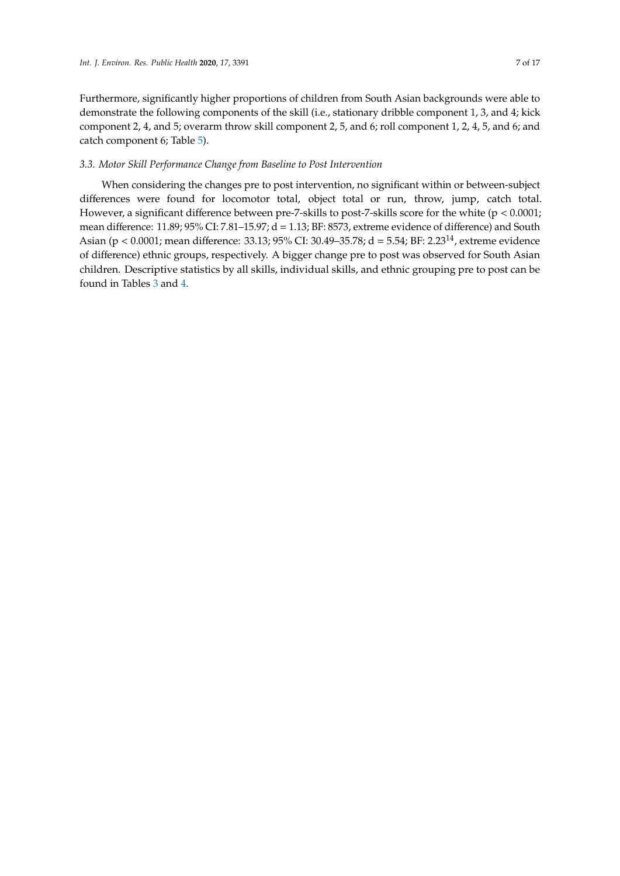catch component 6; Table [5\)](#page-10-0).

Furthermore, significantly higher proportions of children from South Asian backgrounds were able to demonstrate the following components of the skill (i.e., stationary dribble component 1, 3, and 4; kick component 2, 4, and 5; overarm throw skill component 2, 5, and 6; roll component 1, 2, 4, 5, and 6; and

#### *3.3. Motor Skill Performance Change from Baseline to Post Intervention*

When considering the changes pre to post intervention, no significant within or between-subject differences were found for locomotor total, object total or run, throw, jump, catch total. However, a significant difference between pre-7-skills to post-7-skills score for the white (p < 0.0001; mean difference: 11.89; 95% CI: 7.81–15.97; d = 1.13; BF: 8573, extreme evidence of difference) and South Asian (p < 0.0001; mean difference: 33.13; 95% CI: 30.49–35.78; d = 5.54; BF: 2.2314, extreme evidence of difference) ethnic groups, respectively. A bigger change pre to post was observed for South Asian children. Descriptive statistics by all skills, individual skills, and ethnic grouping pre to post can be found in Tables [3](#page-8-0) and [4.](#page-8-1)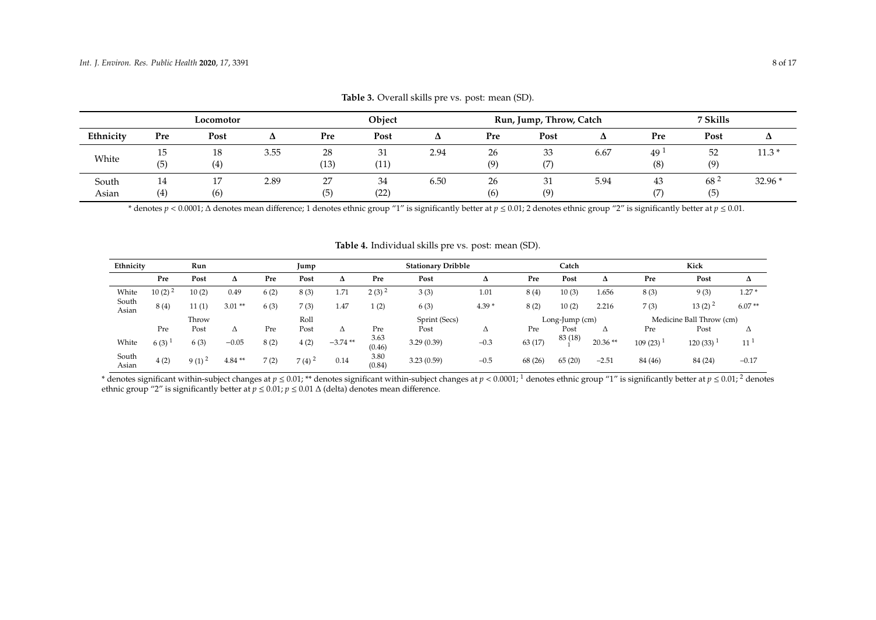| Locomotor |           |      |      |      | Object     |      |           | Run, Jump, Throw, Catch |      | 7 Skills |                 |          |  |
|-----------|-----------|------|------|------|------------|------|-----------|-------------------------|------|----------|-----------------|----------|--|
| Ethnicity | Pre       | Post | Δ    | Pre  | Post       | Δ    | Pre       | Post                    |      | Pre      | Post            | ▵        |  |
| White     | 15<br>(5) | 18   | 3.55 | 28   | 31<br>(11) | 2.94 | 26<br>(9) | 33                      | 6.67 | 49       | 52              | $11.3*$  |  |
|           |           | (4)  |      | (13) |            |      |           | (7)                     |      | (8)      | (9)             |          |  |
| South     | 14        |      | 2.89 | 27   | 34         | 6.50 | 26        |                         | 5.94 | 43       | 68 <sup>2</sup> | $32.96*$ |  |
| Asian     | (4)       | (6)  |      | (5)  | (22)       |      | (6)       | (9)                     |      |          | (5)             |          |  |

**Table 3.** Overall skills pre vs. post: mean (SD).

\* denotes *p* < 0.0001; ∆ denotes mean difference; 1 denotes ethnic group "1" is significantly better at *p* ≤ 0.01; 2 denotes ethnic group "2" is significantly better at *p* ≤ 0.01.

**Table 4.** Individual skills pre vs. post: mean (SD).

| Ethnicity      | Run<br>Jump         |          |          |      | <b>Stationary Dribble</b> |            |                | Catch         |         | Kick           |         |           |                          |           |                 |
|----------------|---------------------|----------|----------|------|---------------------------|------------|----------------|---------------|---------|----------------|---------|-----------|--------------------------|-----------|-----------------|
|                | Pre                 | Post     | Δ        | Pre  | Post                      | Δ          | Pre            | Post          | Δ       | Pre            | Post    | Δ         | Pre                      | Post      | Δ               |
| White          | $10(2)^2$           | 10(2)    | 0.49     | 6(2) | 8(3)                      | 1.71       | $2(3)^2$       | 3(3)          | 1.01    | 8(4)           | 10(3)   | 1.656     | 8(3)                     | 9(3)      | $1.27*$         |
| South<br>Asian | 8(4)                | 11(1)    | $3.01**$ | 6(3) | 7(3)                      | 1.47       | 1(2)           | 6(3)          | $4.39*$ | 8(2)           | 10(2)   | 2.216     | 7(3)                     | $13(2)^2$ | $6.07**$        |
|                |                     | Throw    |          |      | Roll                      |            |                | Sprint (Secs) |         | Long-Jump (cm) |         |           | Medicine Ball Throw (cm) |           |                 |
|                | Pre                 | Post     | Δ        | Pre  | Post                      | Δ          | Pre            | Post          | Δ       | Pre            | Post    | Δ         | Pre                      | Post      | Δ               |
| White          | $6(3)$ <sup>1</sup> | 6(3)     | $-0.05$  | 8(2) | 4(2)                      | $-3.74$ ** | 3.63<br>(0.46) | 3.29(0.39)    | $-0.3$  | 63(17)         | 83 (18) | $20.36**$ | $109(23)^1$              | 120(33)   | 11 <sup>3</sup> |
| South<br>Asian | 4(2)                | $9(1)^2$ | $4.84**$ | 7(2) | $7(4)^{2}$                | 0.14       | 3.80<br>(0.84) | 3.23(0.59)    | $-0.5$  | 68 (26)        | 65(20)  | $-2.51$   | 84 (46)                  | 84 (24)   | $-0.17$         |

<span id="page-8-1"></span><span id="page-8-0"></span>\* denotes significant within-subject changes at *p* ≤ 0.01; \*\* denotes significant within-subject changes at *p* < 0.0001; <sup>1</sup> denotes ethnic group "1" is significantly better at *p* ≤ 0.01; <sup>2</sup> denotes ethnic group "2" is significantly better at  $p \le 0.01$ ;  $p \le 0.01$   $\Delta$  (delta) denotes mean difference.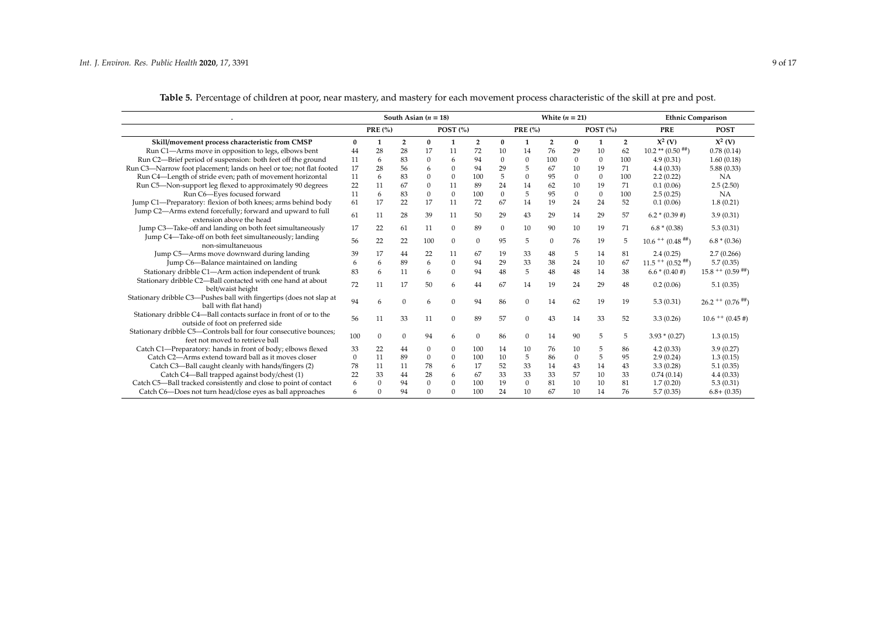|                                                                                                        |                |              |              | South Asian $(n = 18)$ |                     |                |              |              | White $(n = 21)$ |              | <b>Ethnic Comparison</b> |     |                                              |                                              |
|--------------------------------------------------------------------------------------------------------|----------------|--------------|--------------|------------------------|---------------------|----------------|--------------|--------------|------------------|--------------|--------------------------|-----|----------------------------------------------|----------------------------------------------|
|                                                                                                        | <b>PRE (%)</b> |              |              |                        | POST <sub>(%)</sub> |                |              | PRE $(\% )$  |                  |              | POST (%)                 |     | <b>PRE</b>                                   | <b>POST</b>                                  |
| Skill/movement process characteristic from CMSP                                                        | $\bf{0}$       | 1            | 2            | $\bf{0}$               | 1                   | $\overline{2}$ | 0            | 1            | $\overline{2}$   | $\bf{0}$     | 1                        | 2   | $X^2$ (V)                                    | $X^2$ (V)                                    |
| Run C1-Arms move in opposition to legs, elbows bent                                                    | 44             | 28           | 28           | 17                     | 11                  | 72             | 10           | 14           | 76               | 29           | 10                       | 62  | $10.2$ ** $(0.50$ ##)                        | 0.78(0.14)                                   |
| Run C2-Brief period of suspension: both feet off the ground                                            | 11             | 6            | 83           | $\mathbf{0}$           | 6                   | 94             | $\mathbf{0}$ | $\Omega$     | 100              | $\mathbf{0}$ | $\mathbf{0}$             | 100 | 4.9(0.31)                                    | 1.60(0.18)                                   |
| Run C3-Narrow foot placement; lands on heel or toe; not flat footed                                    | 17             | 28           | 56           | 6                      | $\Omega$            | 94             | 29           |              | 67               | 10           | 19                       | 71  | 4.4(0.33)                                    | 5.88(0.33)                                   |
| Run C4-Length of stride even; path of movement horizontal                                              | 11             | 6            | 83           | $\Omega$               | $\Omega$            | 100            | 5            | $\Omega$     | 95               | $\theta$     | $\mathbf{0}$             | 100 | 2.2(0.22)                                    | NA                                           |
| Run C5-Non-support leg flexed to approximately 90 degrees                                              | 22             | 11           | 67           | $\mathbf{0}$           | 11                  | 89             | 24           | 14           | 62               | 10           | 19                       | 71  | 0.1(0.06)                                    | 2.5(2.50)                                    |
| Run C6-Eyes focused forward                                                                            | 11             | 6            | 83           | $\mathbf{0}$           | $\theta$            | 100            | $\mathbf{0}$ | 5            | 95               | $\mathbf{0}$ | $\mathbf{0}$             | 100 | 2.5(0.25)                                    | NA                                           |
| Jump C1-Preparatory: flexion of both knees; arms behind body                                           | 61             | 17           | 22           | 17                     | 11                  | 72             | 67           | 14           | 19               | 24           | 24                       | 52  | 0.1(0.06)                                    | 1.8(0.21)                                    |
| Jump C2-Arms extend forcefully; forward and upward to full<br>extension above the head                 | 61             | 11           | 28           | 39                     | 11                  | 50             | 29           | 43           | 29               | 14           | 29                       | 57  | $6.2 * (0.39 \#)$                            | 3.9(0.31)                                    |
| Jump C3-Take-off and landing on both feet simultaneously                                               | 17             | 22           | 61           | 11                     | $\theta$            | 89             | $\mathbf{0}$ | 10           | 90               | 10           | 19                       | 71  | $6.8*(0.38)$                                 | 5.3(0.31)                                    |
| Jump C4-Take-off on both feet simultaneously; landing<br>non-simultaneuous                             | 56             | 22           | 22           | 100                    | $\Omega$            | $\mathbf{0}$   | 95           | 5            | $\mathbf{0}$     | 76           | 19                       | 5   | $10.6$ <sup>++</sup> $(0.48$ <sup>##</sup> ) | $6.8*(0.36)$                                 |
| Jump C5-Arms move downward during landing                                                              | 39             | 17           | 44           | 22                     | 11                  | 67             | 19           | 33           | 48               | 5            | 14                       | 81  | 2.4(0.25)                                    | 2.7(0.266)                                   |
| Jump C6-Balance maintained on landing                                                                  | 6              | 6            | 89           | 6                      | $\theta$            | 94             | 29           | 33           | 38               | 24           | 10                       | 67  | $11.5$ <sup>++</sup> $(0.52$ <sup>##</sup> ) | 5.7(0.35)                                    |
| Stationary dribble C1-Arm action independent of trunk                                                  | 83             | 6            | 11           | 6                      | $\Omega$            | 94             | 48           | 5            | 48               | 48           | 14                       | 38  | $6.6 * (0.40 \#)$                            | $15.8$ <sup>++</sup> $(0.59$ <sup>##</sup> ) |
| Stationary dribble C2-Ball contacted with one hand at about<br>belt/waist height                       | 72             | 11           | 17           | 50                     | 6                   | 44             | 67           | 14           | 19               | 24           | 29                       | 48  | 0.2(0.06)                                    | 5.1(0.35)                                    |
| Stationary dribble C3-Pushes ball with fingertips (does not slap at<br>ball with flat hand)            | 94             | 6            | $\theta$     | 6                      | $\theta$            | 94             | 86           | $\mathbf{0}$ | 14               | 62           | 19                       | 19  | 5.3(0.31)                                    | $26.2$ <sup>++</sup> (0.76 <sup>##</sup> )   |
| Stationary dribble C4-Ball contacts surface in front of or to the<br>outside of foot on preferred side | 56             | 11           | 33           | 11                     | $\Omega$            | 89             | 57           | $\Omega$     | 43               | 14           | 33                       | 52  | 3.3(0.26)                                    | $10.6$ <sup>++</sup> $(0.45$ #)              |
| Stationary dribble C5-Controls ball for four consecutive bounces;<br>feet not moved to retrieve ball   | 100            | $\mathbf{0}$ | $\mathbf{0}$ | 94                     | 6                   | $\mathbf{0}$   | 86           | $\mathbf{0}$ | 14               | 90           | 5                        | 5   | $3.93 * (0.27)$                              | 1.3(0.15)                                    |
| Catch C1-Preparatory: hands in front of body; elbows flexed                                            | 33             | 22           | 44           | $\mathbf{0}$           | $\theta$            | 100            | 14           | 10           | 76               | 10           | 5                        | 86  | 4.2(0.33)                                    | 3.9(0.27)                                    |
| Catch C2-Arms extend toward ball as it moves closer                                                    | $\mathbf{0}$   | 11           | 89           | $\mathbf{0}$           | $\Omega$            | 100            | 10           | 5            | 86               | $\theta$     | 5                        | 95  | 2.9(0.24)                                    | 1.3(0.15)                                    |
| Catch C3-Ball caught cleanly with hands/fingers (2)                                                    | 78             | 11           | 11           | 78                     | 6                   | 17             | 52           | 33           | 14               | 43           | 14                       | 43  | 3.3(0.28)                                    | 5.1(0.35)                                    |
| Catch C4-Ball trapped against body/chest (1)                                                           | 22             | 33           | 44           | 28                     | 6                   | 67             | 33           | 33           | 33               | 57           | 10                       | 33  | 0.74(0.14)                                   | 4.4(0.33)                                    |
| Catch C5-Ball tracked consistently and close to point of contact                                       | 6              | $\mathbf{0}$ | 94           | $\mathbf{0}$           | $\Omega$            | 100            | 19           | $\mathbf{0}$ | 81               | 10           | 10                       | 81  | 1.7(0.20)                                    | 5.3(0.31)                                    |
| Catch C6-Does not turn head/close eyes as ball approaches                                              | 6              | $\mathbf{0}$ | 94           | 0                      | $\Omega$            | 100            | 24           | 10           | 67               | 10           | 14                       | 76  | 5.7(0.35)                                    | $6.8 + (0.35)$                               |

**Table 5.** Percentage of children at poor, near mastery, and mastery for each movement process characteristic of the skill at pre and post.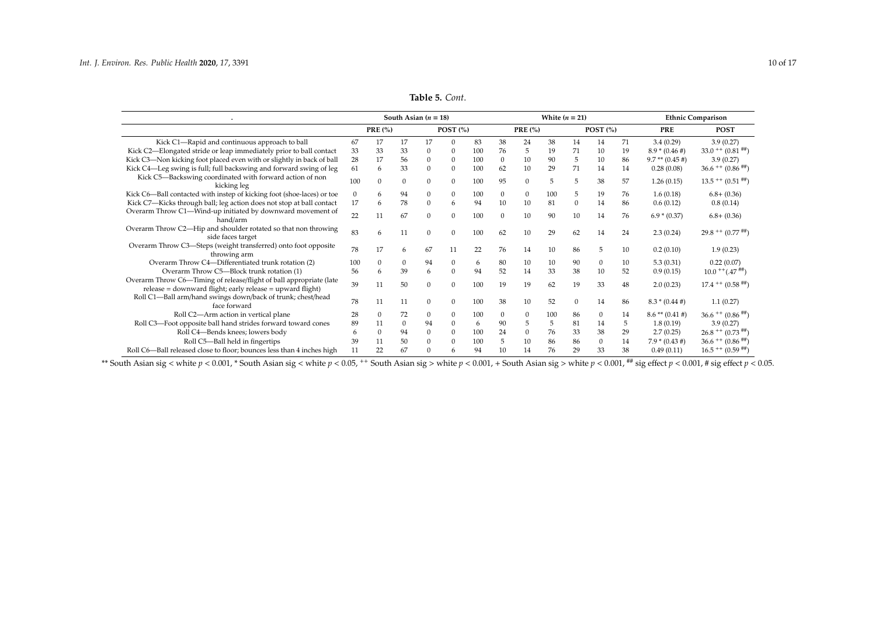**Table 5.** *Cont*.

|                                                                                                                                  | South Asian $(n = 18)$ |          |          |              |              |     |              |              | White $(n = 21)$ |              | <b>Ethnic Comparison</b> |    |                   |                                              |
|----------------------------------------------------------------------------------------------------------------------------------|------------------------|----------|----------|--------------|--------------|-----|--------------|--------------|------------------|--------------|--------------------------|----|-------------------|----------------------------------------------|
|                                                                                                                                  | <b>PRE (%)</b>         |          |          |              | POST $(\%)$  |     |              | PRE $(\% )$  |                  |              | POST $(\%)$              |    | <b>PRE</b>        | <b>POST</b>                                  |
| Kick C1-Rapid and continuous approach to ball                                                                                    | 67                     | 17       | 17       | 17           | $\Omega$     | 83  | 38           | 24           | 38               | 14           | 14                       | 71 | 3.4(0.29)         | 3.9(0.27)                                    |
| Kick C2—Elongated stride or leap immediately prior to ball contact                                                               | 33                     | 33       | 33       | $\theta$     | $\Omega$     | 100 | 76           | 5            | 19               | 71           | 10                       | 19 | $8.9*(0.46\#)$    | $33.0 + (0.81$ ##)                           |
| Kick C3-Non kicking foot placed even with or slightly in back of ball                                                            | 28                     | 17       | 56       | 0            |              | 100 | $\Omega$     | 10           | 90               | 5            | 10                       | 86 | $9.7**$ (0.45 #)  | 3.9(0.27)                                    |
| Kick C4—Leg swing is full; full backswing and forward swing of leg                                                               | 61                     | 6        | 33       | $\mathbf{0}$ | $\Omega$     | 100 | 62           | 10           | 29               | 71           | 14                       | 14 | 0.28(0.08)        | $36.6$ <sup>++</sup> $(0.86$ <sup>##</sup> ) |
| Kick C5-Backswing coordinated with forward action of non<br>kicking leg                                                          | 100                    | $\Omega$ | $\Omega$ | $\mathbf{0}$ | $\Omega$     | 100 | 95           | 0            | 5                | 5            | 38                       | 57 | 1.26(0.15)        | $13.5$ <sup>++</sup> $(0.51$ <sup>##</sup> ) |
| Kick C6-Ball contacted with instep of kicking foot (shoe-laces) or toe                                                           | $\theta$               | 6        | 94       | $\mathbf{0}$ | $\mathbf{0}$ | 100 | $\mathbf{0}$ | $\mathbf{0}$ | 100              | 5            | 19                       | 76 | 1.6(0.18)         | $6.8 + (0.36)$                               |
| Kick C7-Kicks through ball; leg action does not stop at ball contact                                                             | 17                     | 6        | 78       | $\mathbf{0}$ | 6            | 94  | 10           | 10           | 81               | $\Omega$     | 14                       | 86 | 0.6(0.12)         | 0.8(0.14)                                    |
| Overarm Throw C1-Wind-up initiated by downward movement of<br>hand/arm                                                           | 22                     | 11       | 67       | $\mathbf{0}$ | $\mathbf{0}$ | 100 | $\mathbf{0}$ | 10           | 90               | 10           | 14                       | 76 | $6.9 * (0.37)$    | $6.8 + (0.36)$                               |
| Overarm Throw C2-Hip and shoulder rotated so that non throwing<br>side faces target                                              | 83                     | 6        | 11       | $\Omega$     | $\Omega$     | 100 | 62           | 10           | 29               | 62           | 14                       | 24 | 2.3(0.24)         | $29.8$ <sup>++</sup> $(0.77$ <sup>##</sup> ) |
| Overarm Throw C3-Steps (weight transferred) onto foot opposite<br>throwing arm                                                   | 78                     | 17       | 6        | 67           | 11           | 22  | 76           | 14           | 10               | 86           | 5                        | 10 | 0.2(0.10)         | 1.9(0.23)                                    |
| Overarm Throw C4-Differentiated trunk rotation (2)                                                                               | 100                    | $\Omega$ | $\Omega$ | 94           | $\Omega$     | 6   | 80           | 10           | 10               | 90           | $\mathbf{0}$             | 10 | 5.3(0.31)         | 0.22(0.07)                                   |
| Overarm Throw C5-Block trunk rotation (1)                                                                                        | 56                     | 6        | 39       | 6            | $\mathbf{0}$ | 94  | 52           | 14           | 33               | 38           | 10                       | 52 | 0.9(0.15)         | $10.0$ <sup>++</sup> $(.47$ <sup>##</sup> )  |
| Overarm Throw C6—Timing of release/flight of ball appropriate (late<br>release = downward flight; early release = upward flight) | 39                     | 11       | 50       | $\Omega$     | $\Omega$     | 100 | 19           | 19           | 62               | 19           | 33                       | 48 | 2.0(0.23)         | $17.4$ <sup>++</sup> $(0.58$ <sup>##</sup> ) |
| Roll C1-Ball arm/hand swings down/back of trunk; chest/head<br>face forward                                                      | 78                     | 11       | 11       | $\theta$     | $\mathbf{0}$ | 100 | 38           | 10           | 52               | $\mathbf{0}$ | 14                       | 86 | $8.3 * (0.44 \#)$ | 1.1(0.27)                                    |
| Roll C2-Arm action in vertical plane                                                                                             | 28                     | $\theta$ | 72       | $\mathbf{0}$ | $\mathbf{0}$ | 100 | $\theta$     | $\mathbf{0}$ | 100              | 86           | $\theta$                 | 14 | $8.6**$ (0.41 #)  | $36.6$ <sup>++</sup> $(0.86$ <sup>##</sup> ) |
| Roll C3-Foot opposite ball hand strides forward toward cones                                                                     | 89                     | 11       | $\theta$ | 94           | $\Omega$     | 6   | 90           | 5            | 5                | 81           | 14                       | 5  | 1.8(0.19)         | 3.9(0.27)                                    |
| Roll C4-Bends knees; lowers body                                                                                                 | 6                      | $\theta$ | 94       | $\mathbf{0}$ | $\Omega$     | 100 | 24           | $\mathbf{0}$ | 76               | 33           | 38                       | 29 | 2.7(0.25)         | $26.8$ <sup>++</sup> $(0.73$ <sup>##</sup> ) |
| Roll C5-Ball held in fingertips                                                                                                  | 39                     | 11       | 50       | 0            | $\Omega$     | 100 | 5            | 10           | 86               | 86           | $\mathbf{0}$             | 14 | $7.9 * (0.43 \#)$ | $36.6$ <sup>++</sup> $(0.86$ <sup>##</sup> ) |
| Roll C6-Ball released close to floor; bounces less than 4 inches high                                                            | 11                     | 22       | 67       | $\Omega$     |              | 94  | 10           | 14           | 76               | 29           | 33                       | 38 | 0.49(0.11)        | $16.5$ <sup>++</sup> $(0.59$ <sup>##</sup> ) |

<span id="page-10-0"></span>\*\* South Asian sig < white  $p < 0.001$ , \* South Asian sig < white  $p < 0.05$ , \*\* South Asian sig > white  $p < 0.001$ , + South Asian sig > white  $p < 0.001$ , + South Asian sig > white  $p < 0.001$ , ## sig effect  $p < 0.001$ , # si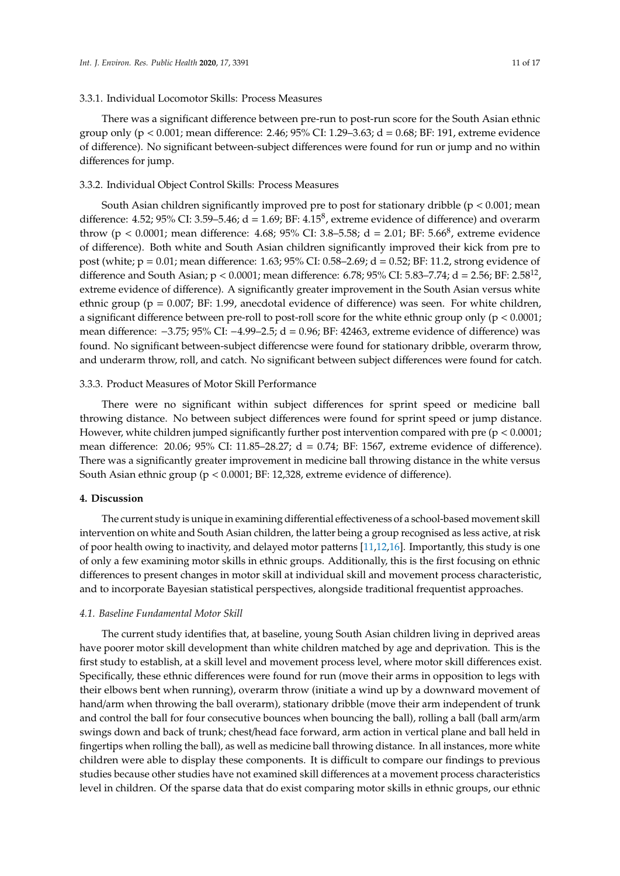#### 3.3.1. Individual Locomotor Skills: Process Measures

There was a significant difference between pre-run to post-run score for the South Asian ethnic group only (p <  $0.001$ ; mean difference: 2.46;  $95\%$  CI:  $1.29-3.63$ ; d =  $0.68$ ; BF: 191, extreme evidence of difference). No significant between-subject differences were found for run or jump and no within differences for jump.

#### 3.3.2. Individual Object Control Skills: Process Measures

South Asian children significantly improved pre to post for stationary dribble ( $p < 0.001$ ; mean difference: 4.52; 95% CI: 3.59–5.46;  $d = 1.69$ ; BF: 4.15<sup>8</sup>, extreme evidence of difference) and overarm throw (p < 0.0001; mean difference: 4.68; 95% CI: 3.8–5.58; d = 2.01; BF: 5.66<sup>8</sup>, extreme evidence of difference). Both white and South Asian children significantly improved their kick from pre to post (white; p = 0.01; mean difference: 1.63; 95% CI: 0.58–2.69; d = 0.52; BF: 11.2, strong evidence of difference and South Asian;  $p < 0.0001$ ; mean difference: 6.78; 95% CI: 5.83–7.74; d = 2.56; BF: 2.58<sup>12</sup>, extreme evidence of difference). A significantly greater improvement in the South Asian versus white ethnic group (p = 0.007; BF: 1.99, anecdotal evidence of difference) was seen. For white children, a significant difference between pre-roll to post-roll score for the white ethnic group only ( $p < 0.0001$ ; mean difference: −3.75; 95% CI: −4.99–2.5; d = 0.96; BF: 42463, extreme evidence of difference) was found. No significant between-subject differencse were found for stationary dribble, overarm throw, and underarm throw, roll, and catch. No significant between subject differences were found for catch.

#### 3.3.3. Product Measures of Motor Skill Performance

There were no significant within subject differences for sprint speed or medicine ball throwing distance. No between subject differences were found for sprint speed or jump distance. However, white children jumped significantly further post intervention compared with pre ( $p < 0.0001$ ; mean difference: 20.06; 95% CI: 11.85–28.27; d = 0.74; BF: 1567, extreme evidence of difference). There was a significantly greater improvement in medicine ball throwing distance in the white versus South Asian ethnic group (p < 0.0001; BF: 12,328, extreme evidence of difference).

#### **4. Discussion**

The current study is unique in examining differential effectiveness of a school-based movement skill intervention on white and South Asian children, the latter being a group recognised as less active, at risk of poor health owing to inactivity, and delayed motor patterns [\[11,](#page-15-1)[12,](#page-15-17)[16\]](#page-15-4). Importantly, this study is one of only a few examining motor skills in ethnic groups. Additionally, this is the first focusing on ethnic differences to present changes in motor skill at individual skill and movement process characteristic, and to incorporate Bayesian statistical perspectives, alongside traditional frequentist approaches.

#### *4.1. Baseline Fundamental Motor Skill*

The current study identifies that, at baseline, young South Asian children living in deprived areas have poorer motor skill development than white children matched by age and deprivation. This is the first study to establish, at a skill level and movement process level, where motor skill differences exist. Specifically, these ethnic differences were found for run (move their arms in opposition to legs with their elbows bent when running), overarm throw (initiate a wind up by a downward movement of hand/arm when throwing the ball overarm), stationary dribble (move their arm independent of trunk and control the ball for four consecutive bounces when bouncing the ball), rolling a ball (ball arm/arm swings down and back of trunk; chest/head face forward, arm action in vertical plane and ball held in fingertips when rolling the ball), as well as medicine ball throwing distance. In all instances, more white children were able to display these components. It is difficult to compare our findings to previous studies because other studies have not examined skill differences at a movement process characteristics level in children. Of the sparse data that do exist comparing motor skills in ethnic groups, our ethnic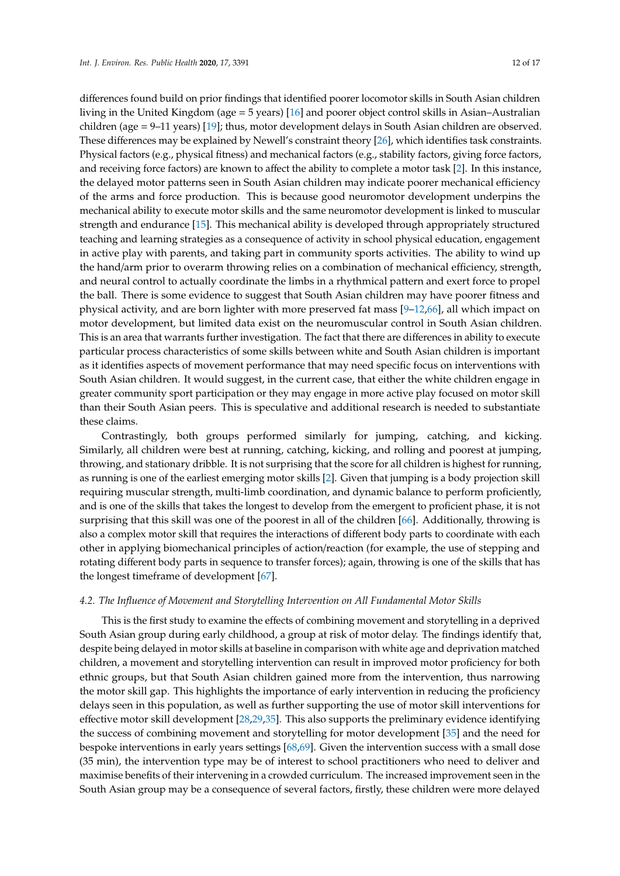differences found build on prior findings that identified poorer locomotor skills in South Asian children living in the United Kingdom (age = 5 years) [\[16\]](#page-15-4) and poorer object control skills in Asian–Australian children (age = 9–11 years) [\[19\]](#page-15-5); thus, motor development delays in South Asian children are observed. These differences may be explained by Newell's constraint theory [\[26\]](#page-15-11), which identifies task constraints. Physical factors (e.g., physical fitness) and mechanical factors (e.g., stability factors, giving force factors, and receiving force factors) are known to affect the ability to complete a motor task [\[2\]](#page-14-1). In this instance, the delayed motor patterns seen in South Asian children may indicate poorer mechanical efficiency of the arms and force production. This is because good neuromotor development underpins the mechanical ability to execute motor skills and the same neuromotor development is linked to muscular strength and endurance [\[15\]](#page-15-3). This mechanical ability is developed through appropriately structured teaching and learning strategies as a consequence of activity in school physical education, engagement in active play with parents, and taking part in community sports activities. The ability to wind up the hand/arm prior to overarm throwing relies on a combination of mechanical efficiency, strength, and neural control to actually coordinate the limbs in a rhythmical pattern and exert force to propel the ball. There is some evidence to suggest that South Asian children may have poorer fitness and physical activity, and are born lighter with more preserved fat mass [\[9–](#page-14-7)[12](#page-15-17)[,66\]](#page-17-9), all which impact on motor development, but limited data exist on the neuromuscular control in South Asian children. This is an area that warrants further investigation. The fact that there are differences in ability to execute particular process characteristics of some skills between white and South Asian children is important as it identifies aspects of movement performance that may need specific focus on interventions with South Asian children. It would suggest, in the current case, that either the white children engage in greater community sport participation or they may engage in more active play focused on motor skill than their South Asian peers. This is speculative and additional research is needed to substantiate these claims.

Contrastingly, both groups performed similarly for jumping, catching, and kicking. Similarly, all children were best at running, catching, kicking, and rolling and poorest at jumping, throwing, and stationary dribble. It is not surprising that the score for all children is highest for running, as running is one of the earliest emerging motor skills [\[2\]](#page-14-1). Given that jumping is a body projection skill requiring muscular strength, multi-limb coordination, and dynamic balance to perform proficiently, and is one of the skills that takes the longest to develop from the emergent to proficient phase, it is not surprising that this skill was one of the poorest in all of the children [\[66\]](#page-17-9). Additionally, throwing is also a complex motor skill that requires the interactions of different body parts to coordinate with each other in applying biomechanical principles of action/reaction (for example, the use of stepping and rotating different body parts in sequence to transfer forces); again, throwing is one of the skills that has the longest timeframe of development [\[67\]](#page-17-10).

#### *4.2. The Influence of Movement and Storytelling Intervention on All Fundamental Motor Skills*

This is the first study to examine the effects of combining movement and storytelling in a deprived South Asian group during early childhood, a group at risk of motor delay. The findings identify that, despite being delayed in motor skills at baseline in comparison with white age and deprivation matched children, a movement and storytelling intervention can result in improved motor proficiency for both ethnic groups, but that South Asian children gained more from the intervention, thus narrowing the motor skill gap. This highlights the importance of early intervention in reducing the proficiency delays seen in this population, as well as further supporting the use of motor skill interventions for effective motor skill development [\[28](#page-15-13)[,29](#page-15-14)[,35\]](#page-16-3). This also supports the preliminary evidence identifying the success of combining movement and storytelling for motor development [\[35\]](#page-16-3) and the need for bespoke interventions in early years settings [\[68](#page-17-11)[,69\]](#page-17-12). Given the intervention success with a small dose (35 min), the intervention type may be of interest to school practitioners who need to deliver and maximise benefits of their intervening in a crowded curriculum. The increased improvement seen in the South Asian group may be a consequence of several factors, firstly, these children were more delayed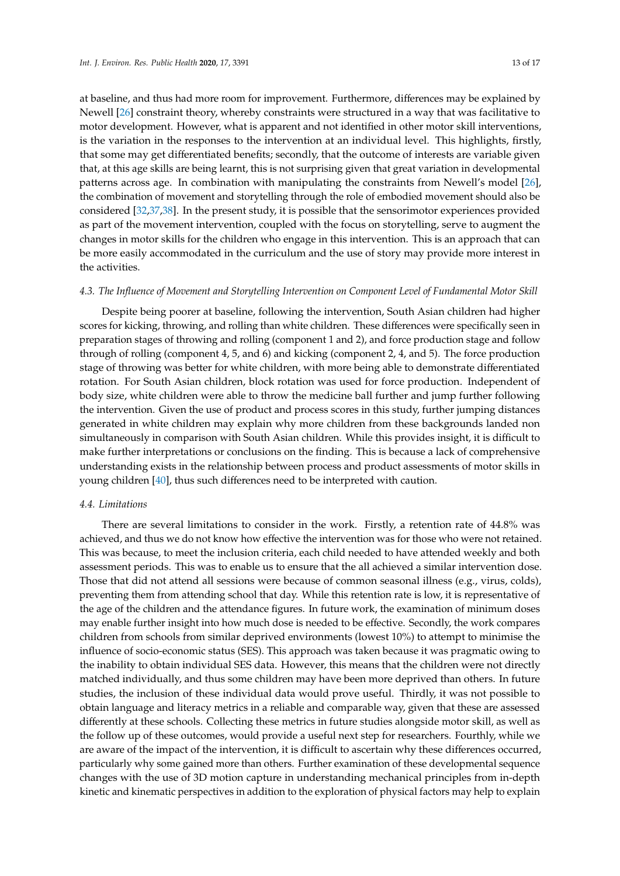at baseline, and thus had more room for improvement. Furthermore, differences may be explained by Newell [\[26\]](#page-15-11) constraint theory, whereby constraints were structured in a way that was facilitative to motor development. However, what is apparent and not identified in other motor skill interventions, is the variation in the responses to the intervention at an individual level. This highlights, firstly, that some may get differentiated benefits; secondly, that the outcome of interests are variable given that, at this age skills are being learnt, this is not surprising given that great variation in developmental patterns across age. In combination with manipulating the constraints from Newell's model [\[26\]](#page-15-11), the combination of movement and storytelling through the role of embodied movement should also be considered [\[32,](#page-16-0)[37,](#page-16-5)[38\]](#page-16-6). In the present study, it is possible that the sensorimotor experiences provided as part of the movement intervention, coupled with the focus on storytelling, serve to augment the changes in motor skills for the children who engage in this intervention. This is an approach that can be more easily accommodated in the curriculum and the use of story may provide more interest in the activities.

#### *4.3. The Influence of Movement and Storytelling Intervention on Component Level of Fundamental Motor Skill*

Despite being poorer at baseline, following the intervention, South Asian children had higher scores for kicking, throwing, and rolling than white children. These differences were specifically seen in preparation stages of throwing and rolling (component 1 and 2), and force production stage and follow through of rolling (component 4, 5, and 6) and kicking (component 2, 4, and 5). The force production stage of throwing was better for white children, with more being able to demonstrate differentiated rotation. For South Asian children, block rotation was used for force production. Independent of body size, white children were able to throw the medicine ball further and jump further following the intervention. Given the use of product and process scores in this study, further jumping distances generated in white children may explain why more children from these backgrounds landed non simultaneously in comparison with South Asian children. While this provides insight, it is difficult to make further interpretations or conclusions on the finding. This is because a lack of comprehensive understanding exists in the relationship between process and product assessments of motor skills in young children [\[40\]](#page-16-8), thus such differences need to be interpreted with caution.

#### *4.4. Limitations*

There are several limitations to consider in the work. Firstly, a retention rate of 44.8% was achieved, and thus we do not know how effective the intervention was for those who were not retained. This was because, to meet the inclusion criteria, each child needed to have attended weekly and both assessment periods. This was to enable us to ensure that the all achieved a similar intervention dose. Those that did not attend all sessions were because of common seasonal illness (e.g., virus, colds), preventing them from attending school that day. While this retention rate is low, it is representative of the age of the children and the attendance figures. In future work, the examination of minimum doses may enable further insight into how much dose is needed to be effective. Secondly, the work compares children from schools from similar deprived environments (lowest 10%) to attempt to minimise the influence of socio-economic status (SES). This approach was taken because it was pragmatic owing to the inability to obtain individual SES data. However, this means that the children were not directly matched individually, and thus some children may have been more deprived than others. In future studies, the inclusion of these individual data would prove useful. Thirdly, it was not possible to obtain language and literacy metrics in a reliable and comparable way, given that these are assessed differently at these schools. Collecting these metrics in future studies alongside motor skill, as well as the follow up of these outcomes, would provide a useful next step for researchers. Fourthly, while we are aware of the impact of the intervention, it is difficult to ascertain why these differences occurred, particularly why some gained more than others. Further examination of these developmental sequence changes with the use of 3D motion capture in understanding mechanical principles from in-depth kinetic and kinematic perspectives in addition to the exploration of physical factors may help to explain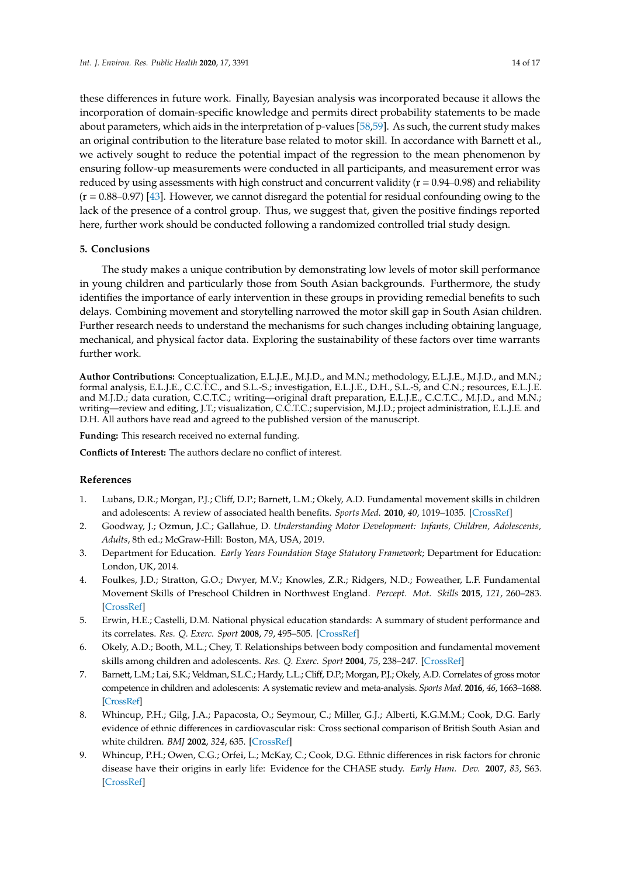these differences in future work. Finally, Bayesian analysis was incorporated because it allows the incorporation of domain-specific knowledge and permits direct probability statements to be made about parameters, which aids in the interpretation of p-values [\[58,](#page-17-2)[59\]](#page-17-13). As such, the current study makes an original contribution to the literature base related to motor skill. In accordance with Barnett et al., we actively sought to reduce the potential impact of the regression to the mean phenomenon by ensuring follow-up measurements were conducted in all participants, and measurement error was reduced by using assessments with high construct and concurrent validity ( $r = 0.94-0.98$ ) and reliability  $(r = 0.88 - 0.97)$  [\[43\]](#page-16-11). However, we cannot disregard the potential for residual confounding owing to the lack of the presence of a control group. Thus, we suggest that, given the positive findings reported

#### **5. Conclusions**

The study makes a unique contribution by demonstrating low levels of motor skill performance in young children and particularly those from South Asian backgrounds. Furthermore, the study identifies the importance of early intervention in these groups in providing remedial benefits to such delays. Combining movement and storytelling narrowed the motor skill gap in South Asian children. Further research needs to understand the mechanisms for such changes including obtaining language, mechanical, and physical factor data. Exploring the sustainability of these factors over time warrants further work.

here, further work should be conducted following a randomized controlled trial study design.

**Author Contributions:** Conceptualization, E.L.J.E., M.J.D., and M.N.; methodology, E.L.J.E., M.J.D., and M.N.; formal analysis, E.L.J.E., C.C.T.C., and S.L.-S.; investigation, E.L.J.E., D.H., S.L.-S, and C.N.; resources, E.L.J.E. and M.J.D.; data curation, C.C.T.C.; writing—original draft preparation, E.L.J.E., C.C.T.C., M.J.D., and M.N.; writing—review and editing, J.T.; visualization, C.C.T.C.; supervision, M.J.D.; project administration, E.L.J.E. and D.H. All authors have read and agreed to the published version of the manuscript.

**Funding:** This research received no external funding.

**Conflicts of Interest:** The authors declare no conflict of interest.

#### **References**

- <span id="page-14-0"></span>1. Lubans, D.R.; Morgan, P.J.; Cliff, D.P.; Barnett, L.M.; Okely, A.D. Fundamental movement skills in children and adolescents: A review of associated health benefits. *Sports Med.* **2010**, *40*, 1019–1035. [\[CrossRef\]](http://dx.doi.org/10.2165/11536850-000000000-00000)
- <span id="page-14-1"></span>2. Goodway, J.; Ozmun, J.C.; Gallahue, D. *Understanding Motor Development: Infants, Children, Adolescents, Adults*, 8th ed.; McGraw-Hill: Boston, MA, USA, 2019.
- <span id="page-14-2"></span>3. Department for Education. *Early Years Foundation Stage Statutory Framework*; Department for Education: London, UK, 2014.
- <span id="page-14-3"></span>4. Foulkes, J.D.; Stratton, G.O.; Dwyer, M.V.; Knowles, Z.R.; Ridgers, N.D.; Foweather, L.F. Fundamental Movement Skills of Preschool Children in Northwest England. *Percept. Mot. Skills* **2015**, *121*, 260–283. [\[CrossRef\]](http://dx.doi.org/10.2466/10.25.PMS.121c14x0)
- 5. Erwin, H.E.; Castelli, D.M. National physical education standards: A summary of student performance and its correlates. *Res. Q. Exerc. Sport* **2008**, *79*, 495–505. [\[CrossRef\]](http://dx.doi.org/10.1080/02701367.2008.10599516)
- <span id="page-14-4"></span>6. Okely, A.D.; Booth, M.L.; Chey, T. Relationships between body composition and fundamental movement skills among children and adolescents. *Res. Q. Exerc. Sport* **2004**, *75*, 238–247. [\[CrossRef\]](http://dx.doi.org/10.1080/02701367.2004.10609157)
- <span id="page-14-5"></span>7. Barnett, L.M.; Lai, S.K.; Veldman, S.L.C.; Hardy, L.L.; Cliff, D.P.; Morgan, P.J.; Okely, A.D. Correlates of gross motor competence in children and adolescents: A systematic review and meta-analysis. *Sports Med.* **2016**, *46*, 1663–1688. [\[CrossRef\]](http://dx.doi.org/10.1007/s40279-016-0495-z)
- <span id="page-14-6"></span>8. Whincup, P.H.; Gilg, J.A.; Papacosta, O.; Seymour, C.; Miller, G.J.; Alberti, K.G.M.M.; Cook, D.G. Early evidence of ethnic differences in cardiovascular risk: Cross sectional comparison of British South Asian and white children. *BMJ* **2002**, *324*, 635. [\[CrossRef\]](http://dx.doi.org/10.1136/bmj.324.7338.635)
- <span id="page-14-7"></span>9. Whincup, P.H.; Owen, C.G.; Orfei, L.; McKay, C.; Cook, D.G. Ethnic differences in risk factors for chronic disease have their origins in early life: Evidence for the CHASE study. *Early Hum. Dev.* **2007**, *83*, S63. [\[CrossRef\]](http://dx.doi.org/10.1016/S0378-3782(07)70107-X)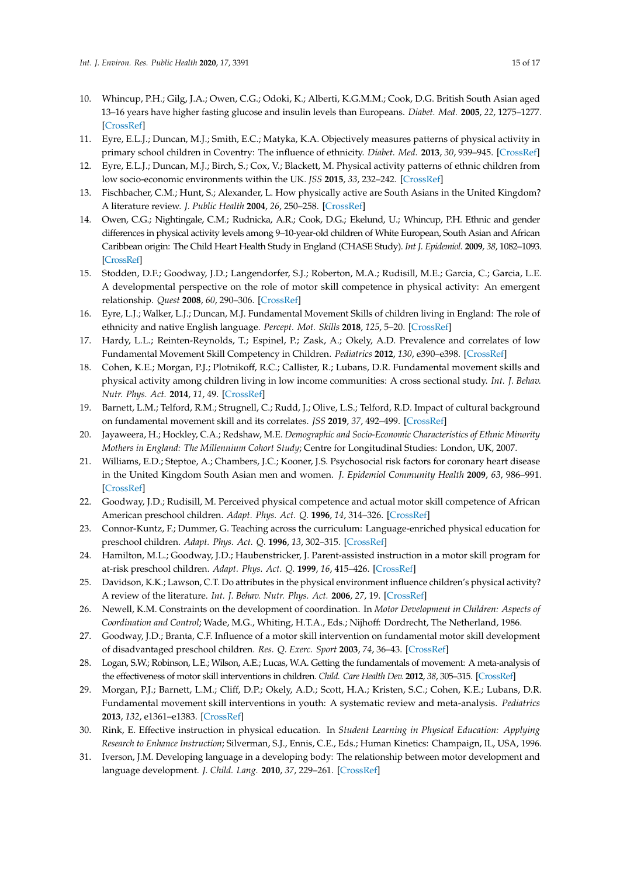- <span id="page-15-0"></span>10. Whincup, P.H.; Gilg, J.A.; Owen, C.G.; Odoki, K.; Alberti, K.G.M.M.; Cook, D.G. British South Asian aged 13–16 years have higher fasting glucose and insulin levels than Europeans. *Diabet. Med.* **2005**, *22*, 1275–1277. [\[CrossRef\]](http://dx.doi.org/10.1111/j.1464-5491.2005.01587.x)
- <span id="page-15-1"></span>11. Eyre, E.L.J.; Duncan, M.J.; Smith, E.C.; Matyka, K.A. Objectively measures patterns of physical activity in primary school children in Coventry: The influence of ethnicity. *Diabet. Med.* **2013**, *30*, 939–945. [\[CrossRef\]](http://dx.doi.org/10.1111/dme.12186)
- <span id="page-15-17"></span>12. Eyre, E.L.J.; Duncan, M.J.; Birch, S.; Cox, V.; Blackett, M. Physical activity patterns of ethnic children from low socio-economic environments within the UK. *JSS* **2015**, *33*, 232–242. [\[CrossRef\]](http://dx.doi.org/10.1080/02640414.2014.934706)
- 13. Fischbacher, C.M.; Hunt, S.; Alexander, L. How physically active are South Asians in the United Kingdom? A literature review. *J. Public Health* **2004**, *26*, 250–258. [\[CrossRef\]](http://dx.doi.org/10.1093/pubmed/fdh158)
- <span id="page-15-2"></span>14. Owen, C.G.; Nightingale, C.M.; Rudnicka, A.R.; Cook, D.G.; Ekelund, U.; Whincup, P.H. Ethnic and gender differences in physical activity levels among 9–10-year-old children of White European, South Asian and African Caribbean origin: The Child Heart Health Study in England (CHASE Study). *Int J. Epidemiol.* **2009**, *38*, 1082–1093. [\[CrossRef\]](http://dx.doi.org/10.1093/ije/dyp176)
- <span id="page-15-3"></span>15. Stodden, D.F.; Goodway, J.D.; Langendorfer, S.J.; Roberton, M.A.; Rudisill, M.E.; Garcia, C.; Garcia, L.E. A developmental perspective on the role of motor skill competence in physical activity: An emergent relationship. *Quest* **2008**, *60*, 290–306. [\[CrossRef\]](http://dx.doi.org/10.1080/00336297.2008.10483582)
- <span id="page-15-4"></span>16. Eyre, L.J.; Walker, L.J.; Duncan, M.J. Fundamental Movement Skills of children living in England: The role of ethnicity and native English language. *Percept. Mot. Skills* **2018**, *125*, 5–20. [\[CrossRef\]](http://dx.doi.org/10.1177/0031512517745437)
- 17. Hardy, L.L.; Reinten-Reynolds, T.; Espinel, P.; Zask, A.; Okely, A.D. Prevalence and correlates of low Fundamental Movement Skill Competency in Children. *Pediatrics* **2012**, *130*, e390–e398. [\[CrossRef\]](http://dx.doi.org/10.1542/peds.2012-0345)
- 18. Cohen, K.E.; Morgan, P.J.; Plotnikoff, R.C.; Callister, R.; Lubans, D.R. Fundamental movement skills and physical activity among children living in low income communities: A cross sectional study. *Int. J. Behav. Nutr. Phys. Act.* **2014**, *11*, 49. [\[CrossRef\]](http://dx.doi.org/10.1186/1479-5868-11-49)
- <span id="page-15-5"></span>19. Barnett, L.M.; Telford, R.M.; Strugnell, C.; Rudd, J.; Olive, L.S.; Telford, R.D. Impact of cultural background on fundamental movement skill and its correlates. *JSS* **2019**, *37*, 492–499. [\[CrossRef\]](http://dx.doi.org/10.1080/02640414.2018.1508399)
- <span id="page-15-6"></span>20. Jayaweera, H.; Hockley, C.A.; Redshaw, M.E. *Demographic and Socio-Economic Characteristics of Ethnic Minority Mothers in England: The Millennium Cohort Study*; Centre for Longitudinal Studies: London, UK, 2007.
- <span id="page-15-7"></span>21. Williams, E.D.; Steptoe, A.; Chambers, J.C.; Kooner, J.S. Psychosocial risk factors for coronary heart disease in the United Kingdom South Asian men and women. *J. Epidemiol Community Health* **2009**, *63*, 986–991. [\[CrossRef\]](http://dx.doi.org/10.1136/jech.2008.084186)
- <span id="page-15-8"></span>22. Goodway, J.D.; Rudisill, M. Perceived physical competence and actual motor skill competence of African American preschool children. *Adapt. Phys. Act. Q.* **1996**, *14*, 314–326. [\[CrossRef\]](http://dx.doi.org/10.1123/apaq.14.4.314)
- 23. Connor-Kuntz, F.; Dummer, G. Teaching across the curriculum: Language-enriched physical education for preschool children. *Adapt. Phys. Act. Q.* **1996**, *13*, 302–315. [\[CrossRef\]](http://dx.doi.org/10.1123/apaq.13.3.302)
- <span id="page-15-9"></span>24. Hamilton, M.L.; Goodway, J.D.; Haubenstricker, J. Parent-assisted instruction in a motor skill program for at-risk preschool children. *Adapt. Phys. Act. Q.* **1999**, *16*, 415–426. [\[CrossRef\]](http://dx.doi.org/10.1123/apaq.16.4.415)
- <span id="page-15-10"></span>25. Davidson, K.K.; Lawson, C.T. Do attributes in the physical environment influence children's physical activity? A review of the literature. *Int. J. Behav. Nutr. Phys. Act.* **2006**, *27*, 19. [\[CrossRef\]](http://dx.doi.org/10.1186/1479-5868-3-19)
- <span id="page-15-11"></span>26. Newell, K.M. Constraints on the development of coordination. In *Motor Development in Children: Aspects of Coordination and Control*; Wade, M.G., Whiting, H.T.A., Eds.; Nijhoff: Dordrecht, The Netherland, 1986.
- <span id="page-15-12"></span>27. Goodway, J.D.; Branta, C.F. Influence of a motor skill intervention on fundamental motor skill development of disadvantaged preschool children. *Res. Q. Exerc. Sport* **2003**, *74*, 36–43. [\[CrossRef\]](http://dx.doi.org/10.1080/02701367.2003.10609062)
- <span id="page-15-13"></span>28. Logan, S.W.; Robinson, L.E.; Wilson, A.E.; Lucas, W.A. Getting the fundamentals of movement: A meta-analysis of the effectiveness of motor skill interventions in children. *Child. Care Health Dev.* **2012**, *38*, 305–315. [\[CrossRef\]](http://dx.doi.org/10.1111/j.1365-2214.2011.01307.x)
- <span id="page-15-14"></span>29. Morgan, P.J.; Barnett, L.M.; Cliff, D.P.; Okely, A.D.; Scott, H.A.; Kristen, S.C.; Cohen, K.E.; Lubans, D.R. Fundamental movement skill interventions in youth: A systematic review and meta-analysis. *Pediatrics* **2013**, *132*, e1361–e1383. [\[CrossRef\]](http://dx.doi.org/10.1542/peds.2013-1167)
- <span id="page-15-15"></span>30. Rink, E. Effective instruction in physical education. In *Student Learning in Physical Education: Applying Research to Enhance Instruction*; Silverman, S.J., Ennis, C.E., Eds.; Human Kinetics: Champaign, IL, USA, 1996.
- <span id="page-15-16"></span>31. Iverson, J.M. Developing language in a developing body: The relationship between motor development and language development. *J. Child. Lang.* **2010**, *37*, 229–261. [\[CrossRef\]](http://dx.doi.org/10.1017/S0305000909990432)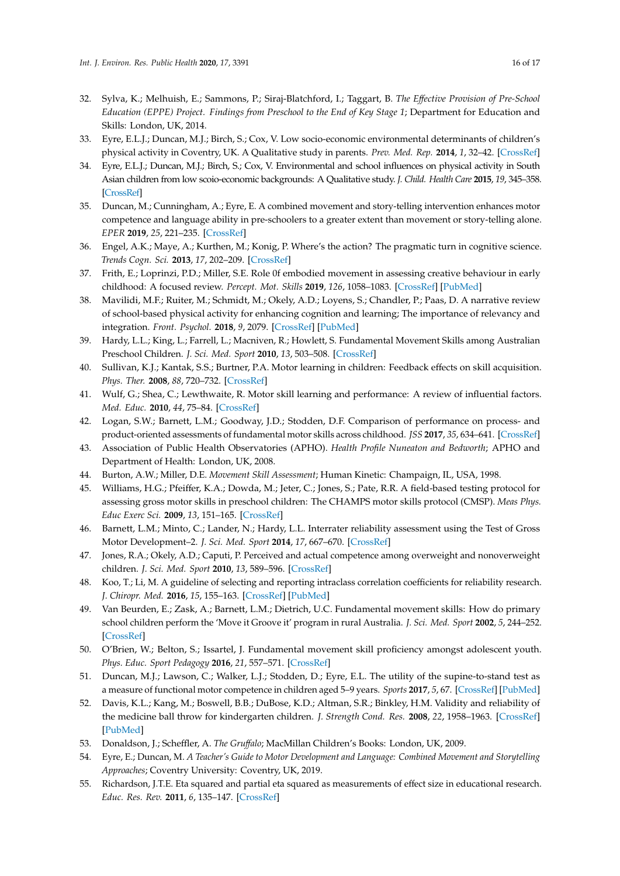- <span id="page-16-0"></span>32. Sylva, K.; Melhuish, E.; Sammons, P.; Siraj-Blatchford, I.; Taggart, B. *The E*ff*ective Provision of Pre-School Education (EPPE) Project. Findings from Preschool to the End of Key Stage 1*; Department for Education and Skills: London, UK, 2014.
- <span id="page-16-1"></span>33. Eyre, E.L.J.; Duncan, M.J.; Birch, S.; Cox, V. Low socio-economic environmental determinants of children's physical activity in Coventry, UK. A Qualitative study in parents. *Prev. Med. Rep.* **2014**, *1*, 32–42. [\[CrossRef\]](http://dx.doi.org/10.1016/j.pmedr.2014.09.002)
- <span id="page-16-2"></span>34. Eyre, E.L.J.; Duncan, M.J.; Birch, S.; Cox, V. Environmental and school influences on physical activity in South Asian children from low scoio-economic backgrounds: A Qualitative study. *J. Child. Health Care* **2015**, *19*, 345–358. [\[CrossRef\]](http://dx.doi.org/10.1177/1367493513508845)
- <span id="page-16-3"></span>35. Duncan, M.; Cunningham, A.; Eyre, E. A combined movement and story-telling intervention enhances motor competence and language ability in pre-schoolers to a greater extent than movement or story-telling alone. *EPER* **2019**, *25*, 221–235. [\[CrossRef\]](http://dx.doi.org/10.1177/1356336X17715772)
- <span id="page-16-4"></span>36. Engel, A.K.; Maye, A.; Kurthen, M.; Konig, P. Where's the action? The pragmatic turn in cognitive science. *Trends Cogn. Sci.* **2013**, *17*, 202–209. [\[CrossRef\]](http://dx.doi.org/10.1016/j.tics.2013.03.006)
- <span id="page-16-5"></span>37. Frith, E.; Loprinzi, P.D.; Miller, S.E. Role 0f embodied movement in assessing creative behaviour in early childhood: A focused review. *Percept. Mot. Skills* **2019**, *126*, 1058–1083. [\[CrossRef\]](http://dx.doi.org/10.1177/0031512519868622) [\[PubMed\]](http://www.ncbi.nlm.nih.gov/pubmed/31407960)
- <span id="page-16-6"></span>38. Mavilidi, M.F.; Ruiter, M.; Schmidt, M.; Okely, A.D.; Loyens, S.; Chandler, P.; Paas, D. A narrative review of school-based physical activity for enhancing cognition and learning; The importance of relevancy and integration. *Front. Psychol.* **2018**, *9*, 2079. [\[CrossRef\]](http://dx.doi.org/10.3389/fpsyg.2018.02079) [\[PubMed\]](http://www.ncbi.nlm.nih.gov/pubmed/30464752)
- <span id="page-16-7"></span>39. Hardy, L.L.; King, L.; Farrell, L.; Macniven, R.; Howlett, S. Fundamental Movement Skills among Australian Preschool Children. *J. Sci. Med. Sport* **2010**, *13*, 503–508. [\[CrossRef\]](http://dx.doi.org/10.1016/j.jsams.2009.05.010)
- <span id="page-16-8"></span>40. Sullivan, K.J.; Kantak, S.S.; Burtner, P.A. Motor learning in children: Feedback effects on skill acquisition. *Phys. Ther.* **2008**, *88*, 720–732. [\[CrossRef\]](http://dx.doi.org/10.2522/ptj.20070196)
- <span id="page-16-9"></span>41. Wulf, G.; Shea, C.; Lewthwaite, R. Motor skill learning and performance: A review of influential factors. *Med. Educ.* **2010**, *44*, 75–84. [\[CrossRef\]](http://dx.doi.org/10.1111/j.1365-2923.2009.03421.x)
- <span id="page-16-10"></span>42. Logan, S.W.; Barnett, L.M.; Goodway, J.D.; Stodden, D.F. Comparison of performance on process- and product-oriented assessments of fundamental motor skills across childhood. *JSS* **2017**, *35*, 634–641. [\[CrossRef\]](http://dx.doi.org/10.1080/02640414.2016.1183803)
- <span id="page-16-11"></span>43. Association of Public Health Observatories (APHO). *Health Profile Nuneaton and Bedworth*; APHO and Department of Health: London, UK, 2008.
- <span id="page-16-12"></span>44. Burton, A.W.; Miller, D.E. *Movement Skill Assessment*; Human Kinetic: Champaign, IL, USA, 1998.
- <span id="page-16-13"></span>45. Williams, H.G.; Pfeiffer, K.A.; Dowda, M.; Jeter, C.; Jones, S.; Pate, R.R. A field-based testing protocol for assessing gross motor skills in preschool children: The CHAMPS motor skills protocol (CMSP). *Meas Phys. Educ Exerc Sci.* **2009**, *13*, 151–165. [\[CrossRef\]](http://dx.doi.org/10.1080/10913670903048036)
- <span id="page-16-14"></span>46. Barnett, L.M.; Minto, C.; Lander, N.; Hardy, L.L. Interrater reliability assessment using the Test of Gross Motor Development–2. *J. Sci. Med. Sport* **2014**, *17*, 667–670. [\[CrossRef\]](http://dx.doi.org/10.1016/j.jsams.2013.09.013)
- <span id="page-16-15"></span>47. Jones, R.A.; Okely, A.D.; Caputi, P. Perceived and actual competence among overweight and nonoverweight children. *J. Sci. Med. Sport* **2010**, *13*, 589–596. [\[CrossRef\]](http://dx.doi.org/10.1016/j.jsams.2010.04.002)
- 48. Koo, T.; Li, M. A guideline of selecting and reporting intraclass correlation coefficients for reliability research. *J. Chiropr. Med.* **2016**, *15*, 155–163. [\[CrossRef\]](http://dx.doi.org/10.1016/j.jcm.2016.02.012) [\[PubMed\]](http://www.ncbi.nlm.nih.gov/pubmed/27330520)
- <span id="page-16-16"></span>49. Van Beurden, E.; Zask, A.; Barnett, L.M.; Dietrich, U.C. Fundamental movement skills: How do primary school children perform the 'Move it Groove it' program in rural Australia. *J. Sci. Med. Sport* **2002**, *5*, 244–252. [\[CrossRef\]](http://dx.doi.org/10.1016/S1440-2440(02)80010-X)
- <span id="page-16-17"></span>50. O'Brien, W.; Belton, S.; Issartel, J. Fundamental movement skill proficiency amongst adolescent youth. *Phys. Educ. Sport Pedagogy* **2016**, *21*, 557–571. [\[CrossRef\]](http://dx.doi.org/10.1080/17408989.2015.1017451)
- <span id="page-16-18"></span>51. Duncan, M.J.; Lawson, C.; Walker, L.J.; Stodden, D.; Eyre, E.L. The utility of the supine-to-stand test as a measure of functional motor competence in children aged 5–9 years. *Sports* **2017**, *5*, 67. [\[CrossRef\]](http://dx.doi.org/10.3390/sports5030067) [\[PubMed\]](http://www.ncbi.nlm.nih.gov/pubmed/29910427)
- <span id="page-16-19"></span>52. Davis, K.L.; Kang, M.; Boswell, B.B.; DuBose, K.D.; Altman, S.R.; Binkley, H.M. Validity and reliability of the medicine ball throw for kindergarten children. *J. Strength Cond. Res.* **2008**, *22*, 1958–1963. [\[CrossRef\]](http://dx.doi.org/10.1519/JSC.0b013e3181821b20) [\[PubMed\]](http://www.ncbi.nlm.nih.gov/pubmed/18815570)
- <span id="page-16-20"></span>53. Donaldson, J.; Scheffler, A. *The Gru*ff*alo*; MacMillan Children's Books: London, UK, 2009.
- <span id="page-16-21"></span>54. Eyre, E.; Duncan, M. *A Teacher's Guide to Motor Development and Language: Combined Movement and Storytelling Approaches*; Coventry University: Coventry, UK, 2019.
- <span id="page-16-22"></span>55. Richardson, J.T.E. Eta squared and partial eta squared as measurements of effect size in educational research. *Educ. Res. Rev.* **2011**, *6*, 135–147. [\[CrossRef\]](http://dx.doi.org/10.1016/j.edurev.2010.12.001)